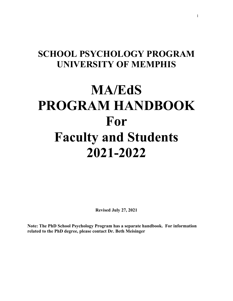# **SCHOOL PSYCHOLOGY PROGRAM UNIVERSITY OF MEMPHIS**

# **MA/EdS PROGRAM HANDBOOK For Faculty and Students 2021-2022**

**Revised July 27, 2021**

**Note: The PhD School Psychology Program has a separate handbook. For information related to the PhD degree, please contact Dr. Beth Meisinger**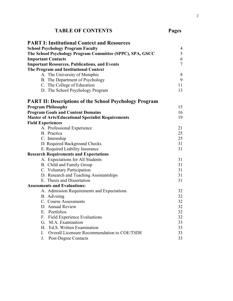# **TABLE OF CONTENTS Pages**

|                          | <b>PART I: Institutional Context and Resources</b>            |                |
|--------------------------|---------------------------------------------------------------|----------------|
|                          | <b>School Psychology Program Faculty</b>                      | $\overline{4}$ |
|                          | The School Psychology Program Committee (SPPC), SPA, GSCC     | 5              |
|                          | <b>Important Contacts</b>                                     | 6              |
|                          | <b>Important Resources, Publications, and Events</b>          | $\overline{7}$ |
|                          | The Program and Institutional Context                         |                |
|                          | A. The University of Memphis                                  | 8              |
|                          | B. The Department of Psychology                               | 9              |
|                          | C. The College of Education                                   | 11             |
|                          | D. The School Psychology Program                              | 13             |
|                          | <b>PART II: Descriptions of the School Psychology Program</b> |                |
|                          | <b>Program Philosophy</b>                                     | 15             |
|                          | <b>Program Goals and Content Domains</b>                      | 16             |
|                          | <b>Master of Arts/Educational Specialist Requirements</b>     | 19             |
| <b>Field Experiences</b> |                                                               |                |
|                          | A. Professional Experience                                    | 21             |
|                          | B. Practica                                                   | 25             |
|                          | C. Internship                                                 | 25             |
|                          | D. Required Background Checks                                 | 31             |
|                          | E. Required Liability Insurance                               | 31             |
|                          | <b>Research Requirements and Expectations</b>                 |                |
|                          | A. Expectations for All Students                              | 31             |
|                          | B. Child and Family Group                                     | 31             |
|                          | C. Voluntary Participation                                    | 31             |
|                          | D. Research and Teaching Assistantships                       | 31             |
|                          | E. Thesis and Dissertation                                    | 31             |
|                          | <b>Assessments and Evaluations:</b>                           |                |
|                          | A. Admission Requirements and Expectations                    | 32             |
|                          | B. Advising                                                   | 32             |
|                          | C. Course Assessments                                         | 32             |
|                          | D. Annual Review                                              | 32             |
| E.                       | Portfolios                                                    | 32             |
| F.                       | <b>Field Experience Evaluations</b>                           | 32             |
|                          | G. M.A. Examination                                           | 33             |
|                          | H. Ed.S. Written Examination                                  | 33             |
| L.                       | Overall Licensure Recommendation to COE/TSDE                  | 33             |
| J.                       | Post-Degree Contacts                                          | 33             |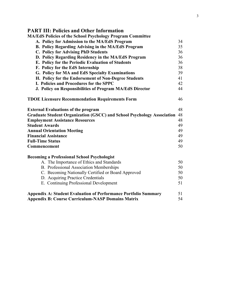| <b>PART III: Policies and Other Information</b>                               |    |
|-------------------------------------------------------------------------------|----|
| <b>MA/EdS Policies of the School Psychology Program Committee</b>             |    |
| A. Policy for Admission to the MA/EdS Program                                 | 34 |
| B. Policy Regarding Advising in the MA/EdS Program                            | 35 |
| <b>C. Policy for Advising PhD Students</b>                                    | 36 |
| D. Policy Regarding Residency in the MA/EdS Program                           | 36 |
| E. Policy for the Periodic Evaluation of Students                             | 36 |
| F. Policy for the EdS Internship                                              | 38 |
| G. Policy for MA and EdS Specialty Examinations                               | 39 |
| H. Policy for the Endorsement of Non-Degree Students                          | 41 |
| I. Policies and Procedures for the SPPC                                       | 42 |
| J. Policy on Responsibilities of Program MA/EdS Director                      | 44 |
| <b>TDOE Licensure Recommendation Requirements Form</b>                        | 46 |
| <b>External Evaluations of the program</b>                                    | 48 |
| <b>Graduate Student Organization (GSCC) and School Psychology Association</b> | 48 |
| <b>Employment Assistance Resources</b>                                        | 48 |
| <b>Student Awards</b>                                                         | 49 |
| <b>Annual Orientation Meeting</b>                                             | 49 |
| <b>Financial Assistance</b>                                                   | 49 |
| <b>Full-Time Status</b>                                                       | 49 |
| Commencement                                                                  | 50 |
| <b>Becoming a Professional School Psychologist</b>                            |    |
| A. The Importance of Ethics and Standards                                     | 50 |
| B. Professional Association Memberships                                       | 50 |
| C. Becoming Nationally Certified or Board Approved                            | 50 |
| D. Acquiring Practice Credentials                                             | 50 |
| E. Continuing Professional Development                                        | 51 |
| <b>Appendix A: Student Evaluation of Performance Portfolio Summary</b>        | 51 |
| <b>Appendix B: Course Curriculum-NASP Domains Matrix</b>                      | 54 |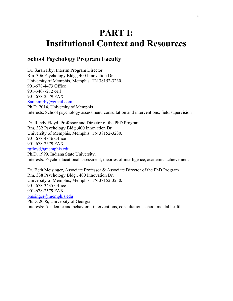# **PART I: Institutional Context and Resources**

## **School Psychology Program Faculty**

Dr. Sarah Irby, Interim Program Director Rm. 306 Psychology Bldg., 400 Innovation Dr. University of Memphis, Memphis, TN 38152-3230. 901-678-4473 Office 901-340-7212 cell 901-678-2579 FAX [Sarahmirby@gmail.com](mailto:Sarahmirby@gmail.com) Ph.D. 2014, University of Memphis Interests: School psychology assessment, consultation and interventions, field supervision

Dr. Randy Floyd, Professor and Director of the PhD Program Rm. 332 Psychology Bldg.,400 Innovation Dr. University of Memphis, Memphis, TN 38152-3230. 901-678-4846 Office 901-678-2579 FAX [rgfloyd@memphis.edu](mailto:rgfloyd@memphis.edu) Ph.D. 1999, Indiana State University. Interests: Psychoeducational assessment, theories of intelligence, academic achievement

Dr. Beth Meisinger, Associate Professor & Associate Director of the PhD Program Rm. 338 Psychology Bldg., 400 Innovation Dr. University of Memphis, Memphis, TN 38152-3230. 901-678-3435 Office 901-678-2579 FAX [bmsinger@memphis.edu](mailto:bmsinger@memphis.edu) Ph.D. 2006, University of Georgia Interests: Academic and behavioral interventions, consultation, school mental health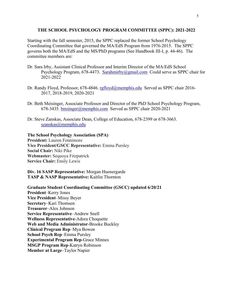#### **THE SCHOOL PSYCHOLOGY PROGRAM COMMITTEE (SPPC): 2021-2022**

Starting with the fall semester, 2015, the SPPC replaced the former School Psychology Coordinating Committee that governed the MA/EdS Program from 1976-2015. The SPPC governs both the MA/EdS and the MS/PhD programs (See Handbook III-I, p. 44-46). The committee members are:

- Dr. Sara Irby, Assistant Clinical Professor and Interim Director of the MA/EdS School Psychology Program, 678-4473. [Sarahmirby@gmail.com](mailto:Sarahmirby@gmail.com) Could serve as SPPC chair for 2021-2022
- Dr. Randy Floyd, Professor, 678-4846. [rgfloyd@memphis.edu](mailto:rgfloyd@memphis.edu) Served as SPPC chair 2016- 2017, 2018-2019, 2020-2021
- Dr. Beth Meisinger, Associate Professor and Director of the PhD School Psychology Program, 678-3435. [bmsinger@memphis.com](mailto:bmeisinger@memphis.com) Served as SPPC chair 2020-2021
- Dr. Steve Zanskas, Associate Dean, College of Education, 678-2399 or 678-3663. [szanskas@memphis.edu](mailto:szanskas@memphis.edu)

#### **The School Psychology Association (SPA)**

**President:** Lauren Fennimore **Vice President/GSCC Representative:** Emma Pursley **Social Chair:** Niki Pike **Webmaster:** Sequoya Fitzpatrick **Service Chair:** Emily Lewis

**Div. 16 SASP Representative:** Morgan Huenergarde **TASP & NASP Representative:** Kaitlin Thornton

**Graduate Student Coordinating Committee (GSCC) updated 6/20/21 President**–Kerry Jones **Vice President**–Missy Beyer **Secretary**–Kari Thomsen **Treasurer**–Alex Johnson **Service Representative**–Andrew Snell **Wellness Representative**-Adora Choquette **Web and Media Administrator**-Brooke Buckley **Clinical Program Rep**–Mya Bowen **School Psych Rep**–Emma Pursley **Experimental Program Rep**-Grace Minnes **MSGP Program Rep**-Katryn Robinson **Member at Large**–Taylor Napier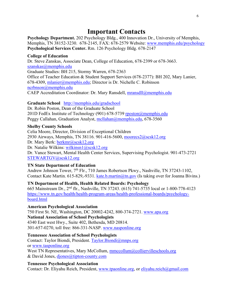# **Important Contacts**

**Psychology Department.** 202 Psychology Bldg., 400 Innovation Dr., University of Memphis, Memphis, TN 38152-3230. 678-2145, FAX: 678-2579 Website: [www.memphis.edu/psychology](http://www.memphis.edu/psychology) **Psychological Services Center.** Rm. 126 Psychology Bldg. 678-2147

#### **College of Education**

Dr. Steve Zanskas, Associate Dean, College of Education, 678-2399 or 678-3663. [szanskas@memphis.edu](mailto:szanskas@memphis.edu) Graduate Studies: BH 215, Stormy Warren, 678-2363 Office of Teacher Education & Student Support Services (678-2377): BH 202, Mary Lanier, 678-4309, [mlanier@memphis.edu;](mailto:mlanier@memphis.edu) Director is Dr. Nichelle C. Robinson [ncrbnson@memphis.edu](mailto:ncrbnson@memphis.edu) CAEP Accreditation Coordinator: Dr. Mary Ransdell, [mransdll@memphis.edu](mailto:mransdll@memphis.edu)

#### **Graduate School** <http://memphis.edu/gradschool>

Dr. Robin Poston, Dean of the Graduate School 201D FedEx Institute of Technology (901) 678-5739 [rposton@memphis.edu](mailto:rposton@memphis.edu) Peggy Callahan, Graduation Analyst, [mcllahan@memphis.edu,](mailto:mcllahan@memphis.edu) 678-3560

#### **Shelby County Schools**

Celia Moore, Director, Division of Exceptional Children 2930 Airways, Memphis, TN 38116. 901-416-5600, [moorecs2@scsk12.org](mailto:moorecs2@scsk12.org) Dr. Mary Berk: [berkmr@scsk12.org](mailto:berkmr@scsk12.org) Dr. Natalie Wilkins: [wilkinsn1@scsk12.org](mailto:wilkinsn1@scsk12.org) Dr. Vance Stewart, Mental Health Center Services, Supervising Psychologist. 901-473-2721

[STEWARTGV@scsk12.org](mailto:STEWARTGV@scsk12.org)

#### **TN State Department of Education**

Andrew Johnson Tower, 7th Flr., 710 James Robertson Pkwy., Nashville, TN 37243-1102, Contact Kate Martin. 615-829,-9331. [kate.b.martin@tn.gov](mailto:kate.b.martin@tn.gov) (Is taking over for Joanna Bivins.)

#### **TN Department of Health, Health Related Boards: Psychology**

665 Mainstream Dr., 2nd flr., Nashville, TN 37243. (615) 741-5735 local or 1-800-778-4123 [https://www.tn.gov/health/health-program-areas/health-professional-boards/psychology](https://www.tn.gov/health/health-program-areas/health-professional-boards/psychology-board.html)[board.html](https://www.tn.gov/health/health-program-areas/health-professional-boards/psychology-board.html)

#### **American Psychological Association**

750 First St. NE, Washington, DC 20002-4242, 800-374-2721. [www.apa.org](http://www.apa.org/) **National Association of School Psychologists** 4340 East west Hwy., Suite 402, Bethesda, MD 20814. 301-657-0270, toll free: 866-331-NASP. [www.nasponline.org](http://www.nasponline.org/)

#### **Tennessee Association of School Psychologists**

Contact: Taylor Biondi, President. [Taylor.Biondi@mnps.org](mailto:Taylor.Biondi@mnps.org) or [www.tasponline.org](http://www.tasponline.org/) West TN Representatives, Mary McCollum, [mmccollum@colliervilleschools.org](mailto:mmccollum@colliervilleschools.org) & David Jones,  $d$ *jones@tipton-county.com* 

#### **Tennessee Psychological Association**

Contact: Dr. Eliyahu Reich, President, [www.tpaonline.org,](http://www.tpaonline.org/) or [eliyahu.reich@gmail.com](mailto:eliyahu.reich@gmail.com)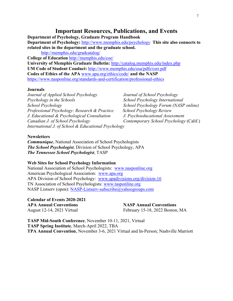#### **Important Resources, Publications, and Events**

**Department of Psychology, Graduate Program Handbook Department of Psychology:** <http://www.memphis.edu/psychology> **This site also connects to related sites in the department and the graduate school.** 

<http://memphis.edu/gradcatalog/>

**College of Education** <http://memphis.edu/coe/> **University of Memphis Graduate Bulletin:** <http://catalog.memphis.edu/index.php> **UM Code of Student Conduct:** <http://www.memphis.edu/osa/pdfs/csrr.pdf> **Codes of Ethics of the APA** [www.apa.org/ethics/code/](http://www.apa.org/ethics/code/) **and the NASP** <https://www.nasponline.org/standards-and-certification/professional-ethics>

#### **Journals**

*Journal of Applied School Psychology Journal of School Psychology Psychology in the Schools School Psychology International School Psychology School Psychology Forum (NASP online) Professional Psychology: Research & Practice School Psychology Review J. Educational & Psychological Consultation J. Psychoeducational Assessment Canadian J. of School Psychology Contemporary School Psychology* (Calif.) *International J. of School & Educational Psychology*

#### **Newsletters**

*Communique*, National Association of School Psychologists *The School Psychologist*, Division of School Psychology, APA *The Tennessee School Psychologist*, TASP

#### **Web Sites for School Psychology Information**

National Association of School Psychologists: [www.nasponline.org](http://www.nasponline.org/) American Psychological Association: [www.apa.org](http://www.apa.org/) APA Division of School Psychology: [www.apadivisions.org/division-16](http://www.apadivisions.org/division-16) TN Association of School Psychologists: [www.tasponline.org](http://www.tasponline.org/) NASP Listserv (open): [NASP-Listserv-subscribe@yahoogroups.com](mailto:NASP-Listserv-subscribe@yahoogroups.com)

**Calendar of Events 2020-2021 APA Annual Conventions NASP Annual Conventions**

August 12-14, 2021 Virtual February 15-18, 2022 Boston, MA

**TASP Mid-South Conference**, November 10-11, 2021, Virtual **TASP Spring Institute**, March-April 2022, TBA **TPA Annual Convention**, November 3-6, 2021 Virtual and In-Person; Nashville Marriott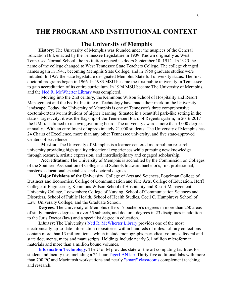## **THE PROGRAM AND INSTITUTIONAL CONTEXT**

#### **The University of Memphis**

**History**: The University of Memphis was founded under the auspices of the General Education Bill, enacted by the Tennessee Legislature in 1909. Known originally as West Tennessee Normal School, the institution opened its doors September 10, 1912. In 1925 the name of the college changed to West Tennessee State Teachers College. The college changed names again in 1941, becoming Memphis State College, and in 1950 graduate studies were initiated. In 1957 the state legislature designated Memphis State full university status. The first doctoral programs began in 1966. In 1983 MSU became the first public university in Tennessee to gain accreditation of its entire curriculum. In 1994 MSU became The University of Memphis, and the [Ned R. McWherter Library](http://exlibris.memphis.edu/) was completed.

Moving into the 21st century, the Kemmons Wilson School of Hospitality and Resort Management and the FedEx Institute of Technology have made their mark on the University landscape. Today, the University of Memphis is one of Tennessee's three comprehensive doctoral-extensive institutions of higher learning. Situated in a beautiful park-like setting in the state's largest city, it was the flagship of the Tennessee Board of Regents system; in 2016-2017 the UM transitioned to its own governing board. The university awards more than 3,000 degrees annually. With an enrollment of approximately 21,000 students, The University of Memphis has 24 Chairs of Excellence, more than any other Tennessee university, and five state-approved Centers of Excellence.

**Mission**: The University of Memphis is a learner-centered metropolitan research university providing high quality educational experiences while pursuing new knowledge through research, artistic expression, and interdisciplinary and engaged scholarship.

**Accreditation**: The University of Memphis is accredited by the Commission on Colleges of the Southern Association of Colleges and Schools to award bachelor's, first professional, master's, educational specialist's, and doctoral degrees.

**Major Divisions of the University**: [College of Arts and Sciences,](http://cas.memphis.edu/) [Fogelman College of](http://fcbe.memphis.edu/)  [Business and Economics,](http://fcbe.memphis.edu/) [College of Communication and Fine Arts,](http://www.people.memphis.edu/%7Ecommfinearts/) [College of Education,](http://coe.memphis.edu/) [Herff](http://www.engr.memphis.edu/)  [College of Engineering,](http://www.engr.memphis.edu/) Kemmons Wilson School of Hospitality and Resort Management, [University College,](http://www.people.memphis.edu/%7Eunivcoll/) [Loewenberg College](http://nursing.memphis.edu/) of Nursing, [School of Communication Sciences and](http://www.ausp.memphis.edu/)  [Disorders,](http://www.ausp.memphis.edu/) [School of Public Health,](http://www.memphis.edu/sph/) School of Health Studies, [Cecil C. Humphreys School of](http://www.law.memphis.edu/)  [Law,](http://www.law.memphis.edu/) University College, and the [Graduate School.](http://www.memphis.edu/gradschool/)

**Degrees**: The University of Memphis offers 17 bachelor's degrees in more than 250 areas of study, master's degrees in over 55 subjects, and doctoral degrees in 23 disciplines in addition to the Juris Doctor (law) and a specialist degree in education.

Library: The University's Ned [R. McWherter Library](http://exlibris.memphis.edu/) provides one of the most electronically up-to-date information repositories within hundreds of miles. Library collections contain more than 13 million items, which include monographs, periodical volumes, federal and state documents, maps and manuscripts. Holdings include nearly 3.1 million microformat materials and more than a million bound volumes.

**[Information Technology](http://is.memphis.edu/)**: The U of M provides state-of-the-art computing facilities for student and faculty use, including a 24-hour [TigerLAN lab.](http://support.memphis.edu/tigerlan/labshours.shtml) Thirty-five additional labs with more than 700 PC and Macintosh workstations and nearly ["smart" classrooms](http://www.people.memphis.edu/%7Eprofweb/smart/) complement teaching and research.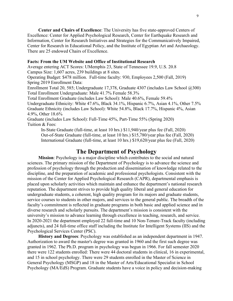**Center and Chairs of Excellence**: The University has five state-approved Centers of Excellence: [Center for Applied Psychological Research,](http://www.psyc.memphis.edu/pages/progdesc.htm#appres) [Center for Earthquake Research and](http://www.ceri.memphis.edu/)  [Information,](http://www.ceri.memphis.edu/) [Center for Research Initiatives and Strategies for the Communicatively Impaired,](http://www.ausp.memphis.edu/crisci.html) [Center for Research in Educational Policy,](http://www.people.memphis.edu/%7Ecoe_crep/) and the [Institute of Egyptian Art and Archaeology.](http://www.memphis.edu/egypt/main.html) There are 25 endowed Chairs of Excellence.

#### **Facts: From the UM Website and Office of Institutional Research**

Average entering ACT Scores: UMemphis 23, State of Tennessee 19.9, U.S. 20.8 Campus Size: 1,607 acres, 239 buildings at 8 sites.

Operating Budget: \$478 million. Full-time faculty: 930, Employees 2,500 (Fall, 2019) Spring 2019 Enrollment Data:

Enrollment Total 20, 585; Undergraduate 17,378, Graduate 4307 (includes Law School @300) Total Enrollment Undergraduate: Male 41.7% Female 58.3%

Total Enrollment Graduate (includes Law School): Male 40.6%, Female 59.4%

Undergraduate Ethnicity: White 47.6%, Black 34.1%, Hispanic 6.7%, Asian 4.1%, Other 7.5% Graduate Ethnicity (includes Law School): White 54.8%, Black 17.7%, Hispanic 4%, Asian 4.9%, Other 18.6%

Graduate (includes Law School): Full-Time 45%, Part-Time 55% (Spring 2020) Tuition & Fees:

In-State Graduate (full-time, at least 10 hrs.) \$11,940/year plus fee (Fall, 2020) Out-of-State Graduate (full-time, at least 10 hrs.) \$15,780/year plus fee (Fall, 2020) International Graduate (full-time, at least 10 hrs.) \$19,620/year plus fee (Fall, 2020)

#### **The Department of Psychology**

**Mission**: Psychology is a major discipline which contributes to the social and natural sciences. The primary mission of the Department of Psychology is to advance the science and profession of psychology through the production and dissemination of knowledge related to the discipline, and the preparation of academic and professional psychologists. Consistent with the mission of the Center for Applied Psychological Research (CAPR), departmental emphasis is placed upon scholarly activities which maintain and enhance the department's national research reputation. The department strives to provide high quality liberal and general education for undergraduate students, a coherent, high quality program for its majors and graduate students, service courses to students in other majors, and services to the general public. The breadth of the faculty's commitment is reflected in graduate programs in both basic and applied science and in diverse research and scholarly pursuits. The department's mission is consistent with the university's mission to advance learning through excellence in teaching, research, and service. In 2020-2021 the department employed 22 full-time and 10 Non-Tenure-Track faculty (including adjuncts), and 24 full-time office staff including the Institute for Intelligent Systems (IIS) and the Psychological Services Center (PSC).

**History and Degrees**: Psychology was established as an independent department in 1947. Authorization to award the master's degree was granted in 1960 and the first such degree was granted in 1962. The Ph.D. program in psychology was begun in 1966. For fall semester 2020 there were 122 students enrolled: There were 44 doctoral students in clinical, 16 in experimental, and 15 in school psychology. There were 29 students enrolled in the Master of Science in General Psychology (MSGP) and 18 in the Master of Arts/Educational Specialist in School Psychology (MA/EdS) Program. Graduate students have a voice in policy and decision-making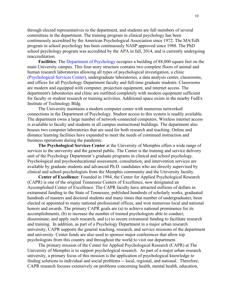through elected representatives to the department, and students are full members of several committees in the department. The training program in clinical psychology has been continuously accredited by the American Psychological Association since 1972. The MA/EdS program in school psychology has been continuously NASP approved since 1988. The PhD school psychology program was accredited by the APA in fall, 2014, and is currently undergoing reaccreditation.

**Facilities**: The [Department of Psychology](http://www.psyc.memphis.edu/psych.htm) occupies a building of 88,000 square feet on the main University campus. This four-story structure contains two complete floors of animal and human research laboratories allowing all types of psychological investigation, a clinic [\(Psychological Services Center\)](http://www.psyc.memphis.edu/pages/specials/psc/psc.htm), undergraduate laboratories, a data analysis center, classrooms, and offices for all Psychology Department faculty and full-time graduate students. Classrooms are modern and equipped with computer, projection equipment, and internet access. The department's laboratories and clinic are outfitted completely with modern equipment sufficient for faculty or student research or training activities. Additional space exists in the nearby FedEx Institute of Technology Bldg.

The University maintains a modern computer center with numerous networked connections in the Department of Psychology. Student access to this system is readily available. The department owns a large number of network-connected computers. Wireless internet access is available to faculty and students in all campus instructional buildings. The department also houses two computer laboratories that are used for both research and teaching. Online and distance learning facilities have expanded to meet the needs of continued instruction and business operations during the pandemic.

**The Psychological Services Center** at the University of Memphis offers a wide range of services to the university and the general public. The Center is the training and service delivery unit of the Psychology Department's graduate programs in clinical and school psychology. Psychological and psychoeducational assessment, consultation, and intervention services are available by graduate students and advanced Ph.D. candidates who are directly supervised by clinical and school psychologists from the Memphis community and the University faculty.

**Center of Excellence**: Founded in 1984, the Center for Applied Psychological Research (CAPR) is one of the original Tennessee Centers of Excellence, now designated an Accomplished Center of Excellence. The CAPR faculty have attracted millions of dollars in extramural funding to the State of Tennessee, published hundreds of scholarly works, graduated hundreds of masters and doctoral students and many times that number of undergraduates, been elected or appointed to many national professional offices, and won numerous local and national honors and awards. The primary CAPR goals are (a) to achieve national prominence for its accomplishments, (b) to increase the number of trained psychologists able to conduct, disseminate, and apply such research, and (c) to secure extramural funding to facilitate research and training. In addition, as part of a Psychology Department in a major urban research university, CAPR supports the general teaching, research, and service missions of the department and university. Center funds are also used to sponsor major conferences that allow top psychologists from this country and throughout the world to visit our department.

The primary mission of the Center for Applied Psychological Research (CAPR) at The University of Memphis is to support psychological research. As part of a major urban research university, a primary focus of this mission is the application of psychological knowledge to finding solutions to individual and social problems -- local, regional, and national. Therefore, CAPR research focuses extensively on problems concerning health, mental health, education,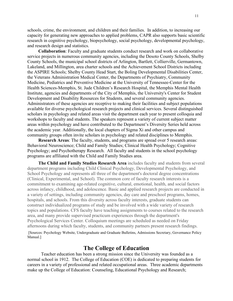schools, crime, the environment, and children and their families. In addition, to increasing our capacity for generating new approaches to applied problems, CAPR also supports basic scientific research in cognitive psychology, biopsychology, social psychology, developmental psychology, and research design and statistics.

**Collaboration**: Faculty and graduate students conduct research and work on collaborative service projects in numerous community agencies, including the Desoto County Schools, Shelby County Schools, the municipal school districts of Arlington, Bartlett, Collierville, Germantown, Lakeland, and Millington, area charter schools and the Achievement School Districts including the ASPIRE Schools; Shelby County Head Start, the Boling Developmental Disabilities Center, the Veterans Administration Medical Center, the Departments of Psychiatry, Community Medicine, Pediatrics and Preventive Medicine at the University of Tennessee-Center for the Health Sciences-Memphis, St. Jude Children's Research Hospital, the Memphis Mental Health Institute, agencies and departments of the City of Memphis, the University's Center for Student Development and Disability Resources for Students, and several community agencies. Administrators of these agencies are receptive to making their facilities and subject populations available for diverse psychological research projects and clinical services. Several distinguished scholars in psychology and related areas visit the department each year to present colloquia and workshops to faculty and students. The speakers represent a variety of current subject matter areas within psychology and have contributed to the Department's Diversity Series held across the academic year. Additionally, the local chapters of Sigma Xi and other campus and community groups often invite scholars in psychology and related disciplines to Memphis.

**Research Areas**: The faculty, students, and programs are spread over 5 research areas: Behavioral Neuroscience; Child and Family Studies; Clinical Health Psychology; Cognitive Psychology; and Psychotherapy Research. All faculty and students in the school psychology programs are affiliated with the Child and Family Studies area.

**The Child and Family Studies Research Area** includes faculty and students from several department programs including Child Clinical Psychology, Developmental Psychology, and School Psychology and represents all three of the department's doctoral degree concentrations (Clinical, Experimental, and School). The common core of faculty research interests is a commitment to examining age-related cognitive, cultural, emotional, health, and social factors across infancy, childhood, and adolescence. Basic and applied research projects are conducted in a variety of settings, including community agencies, day care and preschool programs, homes, hospitals, and schools. From this diversity across faculty interests, graduate students can construct individualized programs of study and be involved with a wide variety of research topics and populations. CFS faculty have teaching assignments to courses related to the research area, and many provide supervised practicum experiences through the department's Psychological Services Center. Colloquium meetings are scheduled as needed on Friday afternoons during which faculty, students, and community partners present research findings.

[Sources: Psychology Website, Undergraduate and Graduate Bulletins, Admissions Secretary, Governance Policy Manual.]

#### **The College of Education**

Teacher education has been a strong mission since the University was founded as a normal school in 1912. The College of Education (COE) is dedicated to preparing students for careers in a variety of professional and related occupational areas. Three academic departments make up the College of Education: Counseling, Educational Psychology and Research;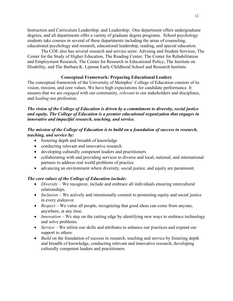Instruction and Curriculum Leadership; and Leadership. One department offers undergraduate degrees, and all departments offer a variety of graduate degree programs. School psychology students take courses in several of these departments including the areas of counseling, educational psychology and research, educational leadership, reading, and special education.

The COE also has several research and service units: Advising and Student Services, The Center for the Study of Higher Education, The Reading Center, The Center for Rehabilitation and Employment Research, The Center for Research in Educational Policy, The Institute on Disability, and The Barbara K. Lipman Early Childhood School and Research Institute.

#### **Conceptual Framework: Preparing Educational Leaders**

The conceptual framework of the University of Memphis' College of Education consists of its vision, mission, and core values. We have high expectations for candidate performance. It ensures that we are *engaged* with our community, *relevant* to our stakeholders and disciplines, and *leading* our profession.

#### *The vision of the College of Education is driven by a commitment to diversity, social justice and equity. The College of Education is a premier educational organization that engages in innovative and impactful research, teaching, and service.*

#### *The mission of the College of Education is to build on a foundation of success in research, teaching, and service by:*

- fostering depth and breadth of knowledge
- conducting relevant and innovative research
- developing culturally competent leaders and practitioners
- collaborating with and providing services to diverse and local, national, and international partners to address real world problems of practice
- advancing an environment where diversity, social justice, and equity are paramount.

#### *The core values of the College of Education include:*

- *Diversity* We recognize, include and embrace all individuals ensuring intercultural relationships.
- *Inclusion* We actively and intentionally commit to promoting equity and social justice in every endeavor.
- *Respect* We value all people, recognizing that good ideas can come from anyone, anywhere, at any time.
- *Innovation* We stay on the cutting edge by identifying new ways to embrace technology and solve problems.
- *Service* We utilize our skills and attributes to enhance our practices and expand our support to others.
- *Build* on the foundation of success in research, teaching and service by fostering depth and breadth of knowledge, conducting relevant and innovative research, developing culturally competent leaders and practitioners.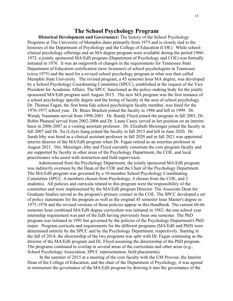#### **The School Psychology Program**

**Historical Development and Governance:** The history of the School Psychology Programs at The University of Memphis dates primarily from 1975 and is closely tied to the histories of the Department of Psychology and the College of Education (COE). While schoolclinical psychology offerings and an MA degree program were available during the period 1960- 1975, a jointly sponsored MA/EdS program (Department of Psychology and COE) was formally initiated in 1976. It was an outgrowth of changes in the requirements for Tennessee State Department of Education certification (now licensure) of school psychologists in Tennessee (circa 1975) and the need for a revised school psychology program at what was then called Memphis State University. The revised program, a 45 semester hour MA degree, was developed by a School Psychology Coordinating Committee (SPCC), established at the request of the Vice President for Academic Affairs. The SPCC functioned as the policy-making body for the jointly sponsored MA/EdS program until August 2015. The new MA program was the first instance of a school psychology specific degree and the hiring of faculty in the area of school psychology. Dr. Thomas Fagan, the first bona fide school psychologist faculty member, was hired for the 1976-1977 school year. Dr. Bruce Bracken joined the faculty in 1986 and left in 1999. Dr. Wendy Naumann served from 1998-2001. Dr. Randy Floyd joined the program in fall 2001, Dr. Robin Phaneuf served from 2002-2006 and Dr. Laura Casey served in her position on an interim basis in 2006-2007 as a visiting assistant professor. Dr. Elizabeth Meisinger joined the faculty in fall 2007 and Dr. Xu (Lilya) Jiang joined the faculty in fall 2015 and left in June 2020. Dr. Sarah Irby was hired as a clinical assistant professor in fall 2020 and in fall 2021 was appointed interim director of the MA/EdS program when Dr. Fagan retired as an emeritus professor in August 2021. Drs. Meisinger, Irby and Floyd currently constitute the core program faculty and are supported by faculty in other areas of the Psychology Department, the COE, and local practitioners who assist with instruction and field supervision.

Administered from the Psychology Department, the jointly sponsored MA/EdS program was indirectly overseen by the Dean of the COE and the Chair of the Psychology Department. The MA/EdS program was governed by a 10-member School Psychology Coordinating Committee (SPCC, 4 members chosen from Psychology, 4 chosen from the COE, and 2 students). All policies and curricula related to this program were the responsibility of the committee and were implemented by the MA/EdS program Director. The Associate Dean for Graduate Studies served as the program's primary contact in the COE. The SPCC developed a set of policy statements for the program as well as the original 45 semester hour Master's degree in 1975-1976 and the revised versions of those policies appear in this Handbook. The current 60-66 semester hour combined MA/EdS degree curriculum was initiated in 1982; the one-school year internship requirement was part of the EdS having previously been one semester. The PhD program was initiated in 1991 but governed by the policies of the Psychology Department's PhD major. Program curricula and requirements for the different programs (MA/EdS and PhD) were determined entirely by the SPCC and by the Psychology Department, respectively. Starting in the fall of 2014, the directorship of the two programs was split with Dr. Fagan continuing as the director of the MA/EdS program and Dr. Floyd assuming the directorship of the PhD program. The programs continued to overlap in several areas of the curriculum and other areas (e.g., School Psychology Association, SPCC representation, field placements).

In the summer of 2015 at a meeting of the core faculty with the UM Provost, the Interim Dean of the College of Education, and the chair of the Department of Psychology, it was agreed to restructure the governance of the MA/EdS program by drawing it into the governance of the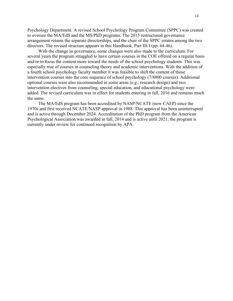Psychology Department. A revised School Psychology Program Committee (SPPC) was created to oversee the MA/EdS and the MS/PhD programs. The 2015 restructured governance arrangement retains the separate directorships, and the chair of the SPPC rotates among the two directors. The revised structure appears in this Handbook, Part III-I (pp. 44-46).

With the change in governance, some changes were also made to the curriculum. For several years the program struggled to have certain courses in the COE offered on a regular basis and/or to focus the content more toward the needs of the school psychology students. This was especially true of courses in counseling theory and academic interventions. With the addition of a fourth school psychology faculty member it was feasible to shift the content of those intervention courses into the core sequence of school psychology (7/8800 courses). Additional optional courses were also recommended in some areas (e.g., research design) and two intervention electives from counseling, special education, and educational psychology were added. The revised curriculum was in effect for students entering in fall, 2016 and remains much the same.

The MA/EdS program has been accredited by NASP/NCATE (now CAEP) since the 1970s and first received NCATE/NASP approval in 1988. This approval has been uninterrupted and is active through December 2024. Accreditation of the PhD program from the American Psychological Association was awarded in fall, 2014 and is active until 2021; the program is currently under review for continued recognition by APA.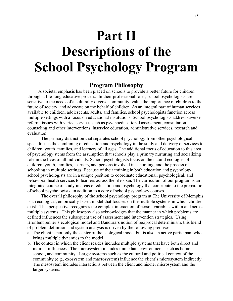# **Part II Descriptions of the School Psychology Program**

#### **Program Philosophy**

A societal emphasis has been placed on schools to provide a better future for children through a life-long educative process. In their professional roles, school psychologists are sensitive to the needs of a culturally diverse community, value the importance of children to the future of society, and advocate on the behalf of children. As an integral part of human services available to children, adolescents, adults, and families, school psychologists function across multiple settings with a focus on educational institutions. School psychologists address diverse referral issues with varied services such as psychoeducational assessment, consultation, counseling and other interventions, inservice education, administrative services, research and evaluation.

The primary distinction that separates school psychology from other psychological specialties is the combining of education and psychology in the study and delivery of services to children, youth, families, and learners of all ages. The additional focus of education to this area of psychology stems from the assumption that schools play a primary nurturing and socializing role in the lives of all individuals. School psychologists focus on the natural ecologies of children, youth, families, learners, and persons involved in schooling; and the process of schooling in multiple settings. Because of their training in both education and psychology, school psychologists are in a unique position to coordinate educational, psychological, and behavioral health services to learners across the life span. The curriculum of our program is an integrated course of study in areas of education and psychology that contribute to the preparation of school psychologists, in addition to a core of school psychology courses.

The overall philosophy of the school psychology program at The University of Memphis is an ecological, empirically-based model that focuses on the multiple systems in which children exist. This perspective recognizes the complex interaction of person variables within and across multiple systems. This philosophy also acknowledges that the manner in which problems are defined influences the subsequent use of assessment and intervention strategies. Using Bronfenbrenner's ecological model and Bandura's notion of reciprocal determinism, this blend of problem definition and system analysis is driven by the following premises.

- a. The client is not only the center of the ecological model but is also an active participant who brings multiple dynamics to the model.
- b. The context in which the client resides includes multiple systems that have both direct and indirect influences. The microsystem includes immediate environments such as home, school, and community. Larger systems such as the cultural and political context of the community (e.g., exosystem and macrosystem) influence the client's microsystem indirectly. The mesosytem includes interactions between the client and his/her microsystem and the larger systems.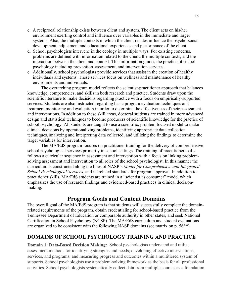- c. A reciprocal relationship exists between client and system. The client acts on his/her environment exerting control and influence over variables in the immediate and larger systems. Also, the multiple contexts in which the client resides influence the psycho-social development, adjustment and educational experiences and performance of the client.
- d. School psychologists intervene in the ecology in multiple ways. For existing concerns, problems are defined with information related to the client, the multiple contexts, and the interaction between the client and context. This information guides the practice of school psychology including prevention, assessment, and intervention services.
- e. Additionally, school psychologists provide services that assist in the creation of healthy individuals and systems. These services focus on wellness and maintenance of healthy environments and individuals.

The overarching program model reflects the scientist-practitioner approach that balances knowledge, competencies, and skills in both research and practice. Students draw upon the scientific literature to make decisions regarding practice with a focus on empirically-supported services. Students are also instructed regarding basic program evaluation techniques and treatment monitoring and evaluation in order to determine the effectiveness of their assessment and interventions. In addition to these skill areas, doctoral students are trained in more advanced design and statistical techniques to become producers of scientific knowledge for the practice of school psychology. All students are taught to use a scientific, problem focused model to make clinical decisions by operationalizing problems, identifying appropriate data collection techniques, analyzing and interpreting data collected, and utilizing the findings to determine the target variables for intervention.

The MA/EdS program focuses on practitioner training for the delivery of comprehensive school psychological services primarily in school settings. The training of practitioner skills follows a curricular sequence in assessment and intervention with a focus on linking problemsolving assessment and intervention to all roles of the school psychologist. In this manner the curriculum is constructed along the lines of NASP's *Model for Comprehensive and Integrated School Psychological Services*, and its related standards for program approval. In addition to practitioner skills, MA/EdS students are trained in a "scientist as consumer" model which emphasizes the use of research findings and evidenced-based practices in clinical decisionmaking.

#### **Program Goals and Content Domains**

The overall goal of the MA/EdS program is that students will successfully complete the domainrelated requirements of the program, obtain credentialing for school-based practice from the Tennessee Department of Education or comparable authority in other states, and seek National Certification in School Psychology (NCSP). The MA/EdS curriculum and student evaluations are organized to be consistent with the following NASP domains (see matrix on p. 56\*\*).

#### **DOMAINS OF SCHOOL PSYCHOLOGY TRAINING AND PRACTICE**

**Domain 1: Data-Based Decision Making:** School psychologists understand and utilize assessment methods for identifying strengths and needs; developing effective interventions, services, and programs; and measuring progress and outcomes within a multitiered system of supports. School psychologists use a problem-solving framework as the basis for all professional activities. School psychologists systematically collect data from multiple sources as a foundation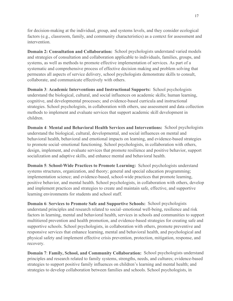for decision-making at the individual, group, and systems levels, and they consider ecological factors (e.g., classroom, family, and community characteristics) as a context for assessment and intervention.

**Domain 2: Consultation and Collaboration:** School psychologists understand varied models and strategies of consultation and collaboration applicable to individuals, families, groups, and systems, as well as methods to promote effective implementation of services. As part of a systematic and comprehensive process of effective decision making and problem solving that permeates all aspects of service delivery, school psychologists demonstrate skills to consult, collaborate, and communicate effectively with others.

**Domain 3**: **Academic Interventions and Instructional Supports:** School psychologists understand the biological, cultural, and social influences on academic skills; human learning, cognitive, and developmental processes; and evidence-based curricula and instructional strategies. School psychologists, in collaboration with others, use assessment and data collection methods to implement and evaluate services that support academic skill development in children.

**Domain 4**: **Mental and Behavioral Health Services and Interventions:** School psychologists understand the biological, cultural, developmental, and social influences on mental and behavioral health, behavioral and emotional impacts on learning, and evidence-based strategies to promote social–emotional functioning. School psychologists, in collaboration with others, design, implement, and evaluate services that promote resilience and positive behavior, support socialization and adaptive skills, and enhance mental and behavioral health.

**Domain 5**: **School-Wide Practices to Promote Learning:** School psychologists understand systems structures, organization, and theory; general and special education programming; implementation science; and evidence-based, school-wide practices that promote learning, positive behavior, and mental health. School psychologists, in collaboration with others, develop and implement practices and strategies to create and maintain safe, effective, and supportive learning environments for students and school staff.

**Domain 6**: **Services to Promote Safe and Supportive Schools:** School psychologists understand principles and research related to social–emotional well-being, resilience and risk factors in learning, mental and behavioral health, services in schools and communities to support multitiered prevention and health promotion, and evidence-based strategies for creating safe and supportive schools. School psychologists, in collaboration with others, promote preventive and responsive services that enhance learning, mental and behavioral health, and psychological and physical safety and implement effective crisis prevention, protection, mitigation, response, and recovery.

**Domain 7**: **Family, School, and Community Collaboration:** School psychologists understand principles and research related to family systems, strengths, needs, and cultures; evidence-based strategies to support positive family influences on children's learning and mental health; and strategies to develop collaboration between families and schools. School psychologists, in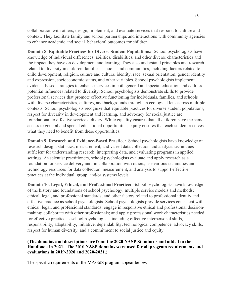collaboration with others, design, implement, and evaluate services that respond to culture and context. They facilitate family and school partnerships and interactions with community agencies to enhance academic and social–behavioral outcomes for children.

**Domain 8**: **Equitable Practices for Diverse Student Populations:** School psychologists have knowledge of individual differences, abilities, disabilities, and other diverse characteristics and the impact they have on development and learning. They also understand principles and research related to diversity in children, families, schools, and communities, including factors related to child development, religion, culture and cultural identity, race, sexual orientation, gender identity and expression, socioeconomic status, and other variables. School psychologists implement evidence-based strategies to enhance services in both general and special education and address potential influences related to diversity. School psychologists demonstrate skills to provide professional services that promote effective functioning for individuals, families, and schools with diverse characteristics, cultures, and backgrounds through an ecological lens across multiple contexts. School psychologists recognize that equitable practices for diverse student populations, respect for diversity in development and learning, and advocacy for social justice are foundational to effective service delivery. While equality ensures that all children have the same access to general and special educational opportunities, equity ensures that each student receives what they need to benefit from these opportunities.

**Domain 9**: **Research and Evidence-Based Practice:** School psychologists have knowledge of research design, statistics, measurement, and varied data collection and analysis techniques sufficient for understanding research, interpreting data, and evaluating programs in applied settings. As scientist practitioners, school psychologists evaluate and apply research as a foundation for service delivery and, in collaboration with others, use various techniques and technology resources for data collection, measurement, and analysis to support effective practices at the individual, group, and/or systems levels.

**Domain 10**: **Legal, Ethical, and Professional Practice:** School psychologists have knowledge of the history and foundations of school psychology; multiple service models and methods; ethical, legal, and professional standards; and other factors related to professional identity and effective practice as school psychologists. School psychologists provide services consistent with ethical, legal, and professional standards; engage in responsive ethical and professional decisionmaking; collaborate with other professionals; and apply professional work characteristics needed for effective practice as school psychologists, including effective interpersonal skills, responsibility, adaptability, initiative, dependability, technological competence, advocacy skills, respect for human diversity, and a commitment to social justice and equity.

#### **(The domains and descriptions are from the 2020 NASP Standards and added to the Handbook in 2021. The 2010 NASP domains were used for all program requirements and evaluations in 2019-2020 and 2020-2021.)**

The specific requirements of the MA/EdS program appear below.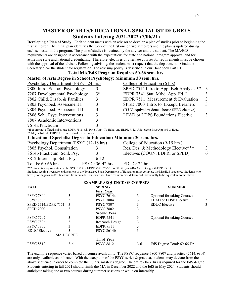#### **MASTER OF ARTS/EDUCATIONAL SPECIALIST DEGREES Students Entering 2021-2022 (7/06/21)**

**Developing a Plan of Study:** Each student meets with an advisor to develop a plan of studies prior to beginning the first semester. The initial plan identifies the work of the first one or two semesters and the plan is updated during each semester in the program. The plan of studies is retained by the advisor and the student. The MA/EdS requirements are designed in accordance with the expectations for state and national program approval and for achieving state and national credentialing. Therefore, electives or alternate courses for requirements must be chosen with the approval of the advisor. Following advising, the student must request that the department's Graduate Secretary clear the student for registration. The advising policy is described in our Handbook Part III.

#### **Total MA/EdS Program Requires 60-66 sem. hrs. Master of Arts Degree in School Psychology: Minimum 30 sem. hrs.**

| <b>Psychology Department (PSYC, 24 hrs)</b>                                                                            |   |                                    |               | College of Education (6 hrs)                                                                                                                                                                                                                                                      |                         |
|------------------------------------------------------------------------------------------------------------------------|---|------------------------------------|---------------|-----------------------------------------------------------------------------------------------------------------------------------------------------------------------------------------------------------------------------------------------------------------------------------|-------------------------|
| 7800 Intro. School. Psychology                                                                                         |   | 3                                  |               | SPED 7514 Intro to Appl Beh Analysis **                                                                                                                                                                                                                                           | $\overline{3}$          |
| 7207 Developmental Psychology                                                                                          |   | $3*$                               |               | EDPR 7541 Stat. Mthd. App. Ed. I                                                                                                                                                                                                                                                  | $\overline{\mathbf{3}}$ |
| 7802 Child. Disab. & Families                                                                                          |   | 3                                  |               | EDPR 7511 Measurement & Evaluation                                                                                                                                                                                                                                                | $\overline{3}$          |
|                                                                                                                        |   |                                    |               |                                                                                                                                                                                                                                                                                   | $\overline{3}$          |
| 7803 Psychoed. Assessment I                                                                                            |   | 3                                  |               | SPED 7000 Intro. to Except. Learners                                                                                                                                                                                                                                              |                         |
| 7804 Psychoed. Assessment II                                                                                           |   | 3                                  |               | (If UG equivalent done, choose SPED elective)                                                                                                                                                                                                                                     |                         |
| 7806 Schl. Psyc. Interventions                                                                                         |   | 3                                  |               | <b>LEAD or LDPS Foundations Elective</b>                                                                                                                                                                                                                                          | 3                       |
| 7807 Academic Interventions                                                                                            |   | 3                                  |               |                                                                                                                                                                                                                                                                                   |                         |
| 7614a Practicum                                                                                                        |   |                                    |               |                                                                                                                                                                                                                                                                                   |                         |
| *If course not offered, substitute EDPR 7111: Ch. Psyc. Appl. To Educ. and EDPR 7112: Adolescent Psyc Applied to Educ. |   |                                    |               |                                                                                                                                                                                                                                                                                   |                         |
| ** May substitute EDPR 7151 Individual. Differences                                                                    |   |                                    |               |                                                                                                                                                                                                                                                                                   |                         |
| <b>Educational Specialist Degree in Education: Minimum 30 sem. hrs.</b>                                                |   |                                    |               |                                                                                                                                                                                                                                                                                   |                         |
| <b>Psychology Department (PSYC (12-18 hrs)</b>                                                                         |   |                                    |               | College of Education (9-15 hrs.)                                                                                                                                                                                                                                                  |                         |
| 8805 Psychol. Consultation                                                                                             |   | 3                                  |               | Res. Des. & Methodology Elective***                                                                                                                                                                                                                                               | 3                       |
| 8614b Practicum: Schl. Psy.                                                                                            |   | 3                                  |               | Electives (COUN, EDPR, or SPED)                                                                                                                                                                                                                                                   | 6                       |
| 8812 Internship: Schl. Psy.                                                                                            |   | $6 - 12$                           |               |                                                                                                                                                                                                                                                                                   |                         |
| Totals: 60-66 hrs.                                                                                                     |   | PSYC: 36-42 hrs.                   | EDUC: 24 hrs. |                                                                                                                                                                                                                                                                                   |                         |
| *** Students may substitute with PSYC 7509 or EDPR 7521, 7/8561, or 7/8581, or ABA Case Designs (EDPR 8581)            |   |                                    |               |                                                                                                                                                                                                                                                                                   |                         |
|                                                                                                                        |   |                                    |               | Students seeking licensure endorsement to the Tennessee State Department of Education must complete the MA/EdS sequence. Students who<br>have prior degrees and/or licensure from outside Tennessee will have requirements determined individually to be equivalent to the above. |                         |
|                                                                                                                        |   | <b>EXAMPLE SEQUENCE OF COURSES</b> |               |                                                                                                                                                                                                                                                                                   |                         |
| <b>FALL</b>                                                                                                            |   | <b>SPRING</b>                      |               | <b>SUMMER</b>                                                                                                                                                                                                                                                                     |                         |
|                                                                                                                        |   | <b>First Year</b>                  |               |                                                                                                                                                                                                                                                                                   |                         |
| <b>PSYC 7800</b>                                                                                                       | 3 | PSYC 7614a                         | 3             | Optional for taking Courses                                                                                                                                                                                                                                                       |                         |
| <b>PSYC 7803</b>                                                                                                       | 3 | <b>PSYC 7804</b>                   | 3             | <b>LEAD or LDSP Elective</b>                                                                                                                                                                                                                                                      | 3                       |
| SPED 7514/EDPR 7151                                                                                                    | 3 | <b>PSYC 7807</b>                   | 3             | <b>EDUC</b> Elective                                                                                                                                                                                                                                                              | 3                       |
| <b>SPED 7000</b>                                                                                                       | 3 | <b>PSYC 7802</b>                   | 3             |                                                                                                                                                                                                                                                                                   |                         |
|                                                                                                                        |   | <b>Second Year</b>                 |               |                                                                                                                                                                                                                                                                                   |                         |
| <b>PSYC 7207</b>                                                                                                       | 3 | <b>EDPR 7541</b>                   | 3             | <b>Optional for taking Courses</b>                                                                                                                                                                                                                                                |                         |
| <b>PSYC 7806</b>                                                                                                       | 3 | Research Design                    | 3             |                                                                                                                                                                                                                                                                                   |                         |
| <b>PSYC 7805</b>                                                                                                       | 3 | <b>EDPR 7511</b>                   | 3             |                                                                                                                                                                                                                                                                                   |                         |

EDUC Elective 3 PSYC 8614b 3 MA DEGREE **Third Year** PSYC 8812 3-6 PSYC 8812 3-6 EdS Degree Total: 60-66 Hrs.

The example sequence varies based on course availability. The PSYC sequence 7800-7807 and practica (7614/8614) are only available as indicated. With the exception of the PSYC series & practica, students may deviate from the above sequence in order to complete the 30 hrs. master's degree. The entire 60-66 hrs is required for the EdS degree. Students entering in fall 2021 should finish the MA in December 2022 and the EdS in May 2024. Students should anticipate taking one or two courses during summer sessions or while on internship.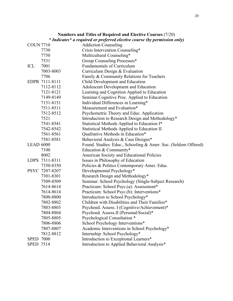|                  |                | Numbers and Titles of Required and Elective Courses (7/20)                |
|------------------|----------------|---------------------------------------------------------------------------|
|                  |                | * Indicates* a required or preferred elective course (by permission only) |
| <b>COUN 7710</b> |                | <b>Addiction Counseling</b>                                               |
|                  | 7730           | Crisis Intervention Counseling*                                           |
|                  | 7750           | Multicultural Counseling*                                                 |
|                  | 7531           | Group Counseling Processes*                                               |
| ICL              | 7001           | Fundamentals of Curriculum                                                |
|                  | 7003-8003      | Curriculum Design & Evaluation                                            |
|                  | 7706           | Family & Community Relations for Teachers                                 |
|                  | EDPR 7111-8111 | Child Development and Education                                           |
|                  | 7112-8112      | Adolescent Development and Education                                      |
|                  | 7121-8121      | Learning and Cognition Applied to Education                               |
|                  | 7149-8149      | Seminar Cognitive Proc. Applied to Education                              |
|                  | 7151-8151      | Individual Differences in Learning*                                       |
|                  | 7511-8511      | Measurement and Evaluation*                                               |
|                  | 7512-8512      | Psychometric Theory and Educ. Application                                 |
|                  | 7521           | Introduction to Research Design and Methodology*                          |
|                  | 7541-8541      | Statistical Methods Applied to Education I*                               |
|                  | 7542-8542      | Statistical Methods Applied to Education II                               |
|                  | 7561-8561      | Qualitative Methods in Education*                                         |
|                  | 7581-8581      | Behavioral Analysis & Case Designs*                                       |
| <b>LEAD 6000</b> |                | Found. Studies: Educ., Schooling & Amer. Soc. (Seldom Offered)            |
|                  | 7100           | Education & Community*                                                    |
|                  | 8002           | American Society and Educational Policies                                 |
|                  | LDPS 7311-8311 | Issues in Philosophy of Education                                         |
|                  | 7350-8350      | Policies & Politics Contemporary Amer. Educ.                              |
|                  | PSYC 7207-8207 | Developmental Psychology*                                                 |
|                  | 7301-8301      | Research Design and Methodology*                                          |
|                  | 7509-8509      | Seminar: School Psychology (Single-Subject Research)                      |
|                  | 7614-8614      | Practicum: School Psyc.(a): Assessment*                                   |
|                  | 7614-8614      | Practicum: School Psyc.(b): Interventions*                                |
|                  | 7800-8800      | Introduction to School Psychology*                                        |
|                  | 7802-8802      | Children with Disabilities and Their Families*                            |
|                  | 7803-8803      | Psychoed. Assess. I (Cognitive/Achievement)*                              |
|                  | 7804-8804      | Psychoed. Assess.II (Personal/Social)*                                    |
|                  | 7805-8805      | Psychological Consultation *                                              |
|                  | 7806-8806      | School Psychology Interventions*                                          |
|                  | 7807-8807      | Academic Interventions in School Psychology*                              |
|                  | 7812-8812      | Internship: School Psychology*                                            |
| <b>SPED 7000</b> |                | Introduction to Exceptional Learners*                                     |
| <b>SPED 7514</b> |                | Introduction to Applied Behavioral Analysis*                              |

20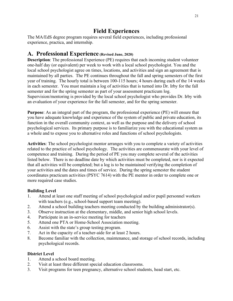# **Field Experiences**

The MA/EdS degree program requires several field experiences, including professional experience, practica, and internship.

## **A. Professional Experience (Revised June, 2020)**

**Description**: The professional Experience (PE) requires that each incoming student volunteer one-half day (or equivalent) per week to work with a local school psychologist. You and the local school psychologist agree on times, locations, and activities and sign an agreement that is maintained by all parties. The PE continues throughout the fall and spring semesters of the first year of training. The hourly total is between 100-115 hours; 4 hours during each of the 14 weeks in each semester. You must maintain a log of activities that is turned into Dr. Irby for the fall semester and for the spring semester as part of your assessment practicum log. Supervision/mentoring is provided by the local school psychologist who provides Dr. Irby with an evaluation of your experience for the fall semester, and for the spring semester.

**Purpose**: As an integral part of the program, the professional experience (PE) will ensure that you have adequate knowledge and experience of the system of public and private education, its function in the overall community context, as well as the purpose and the delivery of school psychological services. Its primary purpose is to familiarize you with the educational system as a whole and to expose you to alternative roles and functions of school psychologists.

**Activities**: The school psychologist mentor arranges with you to complete a variety of activities related to the practice of school psychology. The activities are commensurate with your level of competence and training. During the period of PE you may complete several of the activities listed below. There is no deadline date by which activities must be completed, nor is it expected that all activities will be completed; but a log is to be maintained verifying the completion of your activities and the dates and times of service. During the spring semester the student coordinates practicum activities (PSYC 7614) with the PE mentor in order to complete one or more required case studies.

#### **Building Level**

- 1. Attend at least one staff meeting of school psychological and/or pupil personnel workers with teachers (e.g., school-based support team meeting).
- 2. Attend a school building teachers meeting conducted by the building administrator(s).
- 3. Observe instruction at the elementary, middle, and senior high school levels.
- 4. Participate in an in-service meeting for teachers
- 5. Attend one PTA or Home-School Association meeting.
- 6. Assist with the state's group testing program.
- 7. Act in the capacity of a teacher-aide for at least 2 hours.
- 8. Become familiar with the collection, maintenance, and storage of school records, including psychological records.

#### **District Level**

- 1. Attend a school board meeting.
- 2. Visit at least three different special education classrooms.
- 3. Visit programs for teen pregnancy, alternative school students, head start, etc.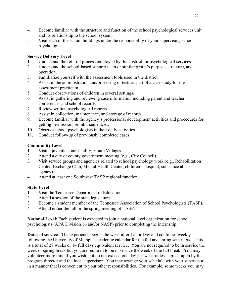- 4. Become familiar with the structure and function of the school psychological services unit and its relationship to the school system.
- 5. Visit each of the school buildings under the responsibility of your supervising school psychologist.

#### **Service Delivery Level**

- 1. Understand the referral process employed by this district for psychological services.
- 2. Understand the school-based support team or similar group's purpose, structure, and operation.
- 3. Familiarize yourself with the assessment tools used in the district.
- 4. Assist in the administration and/or scoring of tests as part of a case study for the assessment practicum.
- 5. Conduct observations of children in several settings.
- 6. Assist in gathering and reviewing case information including parent and teacher conferences and school records.
- 7. Review written psychological reports.
- 8. Assist in collection, maintenance, and storage of records.
- 9. Become familiar with the agency's professional development activities and procedures for getting permission, reimbursement, etc.
- 10. Observe school psychologists in their daily activities.
- 11. Conduct follow-up of previously completed cases.

#### **Community Level**

- 1. Visit a juvenile court facility, Youth Villages.
- 2. Attend a city or county government meeting (e.g., City Council)
- 3. Visit service groups and agencies related to school psychology work (e.g., Rehabilitation Center, Exchange Club, Mental Health Center, children's hospital, substance abuse agency).
- 4. Attend at least one Southwest TASP regional function.

#### **State Level**

- 1. Visit the Tennessee Department of Education.
- 2. Attend a session of the state legislature.
- 3. Become a student member of the Tennessee Association of School Psychologists (TASP).
- 4. Attend either the fall or the spring meeting of TASP.

**National Level**: Each student is expected to join a national level organization for school psychologists (APA Division 16 and/or NASP) prior to completing the internship.

**Dates of service**: The experience begins the week after Labor Day and continues weekly following the University of Memphis academic calendar for the fall and spring semesters. This is a total of 28 weeks or 14 full days equivalent service. You are not required to be in service the week of spring break but you are required to be in service the week of the fall break. You may volunteer more time if you wish, but do not exceed one day per week unless agreed upon by the program director and the local supervisor. You may arrange your schedule with your supervisor in a manner that is convenient to your other responsibilities. For example, some weeks you may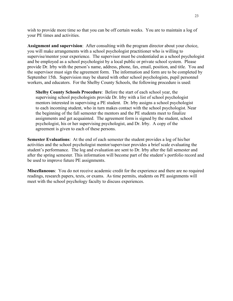wish to provide more time so that you can be off certain weeks. You are to maintain a log of your PE times and activities.

**Assignment and supervision**: After consulting with the program director about your choice, you will make arrangements with a school psychologist practitioner who is willing to supervise/mentor your experience. The supervisor must be credentialed as a school psychologist and be employed as a school psychologist by a local public or private school system. Please provide Dr. Irby with the person's name, address, phone, fax, email, position, and title. You and the supervisor must sign the agreement form. The information and form are to be completed by September 15th. Supervision may be shared with other school psychologists, pupil personnel workers, and educators. For the Shelby County Schools, the following procedure is used:

**Shelby County Schools Procedure**: Before the start of each school year, the supervising school psychologists provide Dr. Irby with a list of school psychologist mentors interested in supervising a PE student. Dr. Irby assigns a school psychologist to each incoming student, who in turn makes contact with the school psychologist. Near the beginning of the fall semester the mentors and the PE students meet to finalize assignments and get acquainted. The agreement form is signed by the student, school psychologist, his or her supervising psychologist, and Dr. Irby. A copy of the agreement is given to each of these persons.

**Semester Evaluations**: At the end of each semester the student provides a log of his/her activities and the school psychologist mentor/supervisor provides a brief scale evaluating the student's performance. The log and evaluation are sent to Dr. Irby after the fall semester and after the spring semester. This information will become part of the student's portfolio record and be used to improve future PE assignments.

**Miscellaneous**: You do not receive academic credit for the experience and there are no required readings, research papers, texts, or exams. As time permits, students on PE assignments will meet with the school psychology faculty to discuss experiences.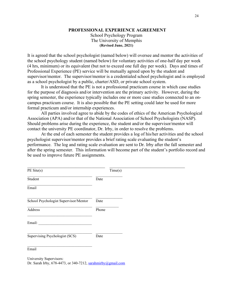#### **PROFESSIONAL EXPERIENCE AGREEMENT**

School Psychology Program The University of Memphis **(Revised June, 2021)**

It is agreed that the school psychologist (named below) will oversee and mentor the activities of the school psychology student (named below) for voluntary activities of one-half day per week (4 hrs, minimum) or its equivalent (but not to exceed one full day per week). Days and times of Professional Experience (PE) service will be mutually agreed upon by the student and supervisor/mentor. The supervisor/mentor is a credentialed school psychologist and is employed as a school psychologist by a public, charter/ASD, or private school system.

It is understood that the PE is not a professional practicum course in which case studies for the purpose of diagnosis and/or intervention are the primary activity. However, during the spring semester, the experience typically includes one or more case studies connected to an oncampus practicum course. It is also possible that the PE setting could later be used for more formal practicum and/or internship experiences.

All parties involved agree to abide by the codes of ethics of the American Psychological Association (APA) and/or that of the National Association of School Psychologists (NASP). Should problems arise during the experience, the student and/or the supervisor/mentor will contact the university PE coordinator, Dr. Irby, in order to resolve the problems.

At the end of each semester the student provides a log of his/her activities and the school psychologist supervisor/mentor provides a brief rating scale evaluating the student's performance. The log and rating scale evaluation are sent to Dr. Irby after the fall semester and after the spring semester. This information will become part of the student's portfolio record and be used to improve future PE assignments.

| PE Site(s)                            |       | Time(s) |
|---------------------------------------|-------|---------|
| Student                               | Date  |         |
| Email                                 |       |         |
| School Psychologist Supervisor/Mentor | Date  |         |
| Address                               | Phone |         |
| Email:                                |       |         |
| Supervising Psychologist (SCS)        | Date  |         |
| Email                                 |       |         |

University Supervisors: Dr. Sarah Irby, 678-4473, or 340-7212, [sarahmirby@gmail.com](mailto:sarahmirby@gmail.com)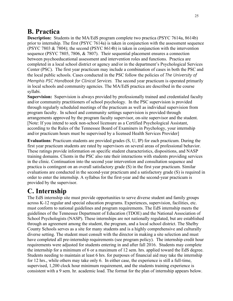# **B. Practica**

**Description:** Students in the MA/EdS program complete two practica (PSYC 7614a, 8614b) prior to internship. The first (PSYC 7614a) is taken in conjunction with the assessment sequence (PSYC 7803 & 7804); the second (PSYC 8614b) is taken in conjunction with the intervention sequence (PSYC 7805, 7806, & 7807). Their sequential placement ensures a connection between psychoeducational assessment and intervention roles and functions. Practica are completed in a local school district or agency and/or in the department's Psychological Services Center (PSC). The first year practicum may include a combination of cases in both the PSC and the local public schools. Cases conducted in the PSC follow the policies of *The University of Memphis PSC Handbook for Clinical Services.* The second year practicum is operated primarily in local schools and community agencies. The MA/EdS practica are described in the course syllabi.

**Supervision:** Supervision is always provided by professionally trained and credentialed faculty and/or community practitioners of school psychology. In the PSC supervision is provided through regularly scheduled meetings of the practicum as well as individual supervision from program faculty. In school and community settings supervision is provided through arrangements approved by the program faculty supervisor, on-site supervisor and the student. [Note: If you intend to seek non-school licensure as a Certified Psychological Assistant, according to the Rules of the Tennessee Board of Examiners in Psychology, your internship and/or practicum hours must be supervised by a licensed Health Services Provider]

**Evaluations**: Practicum students are provided grades (S, U, IP) for each practicum. During the first year practicum students are rated by supervisors on several areas of professional behavior. These ratings provide information on specific student characteristics, dispositions, and NASP training domains. Clients in the PSC also rate their interactions with students providing services in the clinic. Continuation into the second year intervention and consultation sequence and practica is contingent on an overall satisfactory grade (S) in the first year practicum. Similar evaluations are conducted in the second-year practicum and a satisfactory grade (S) is required in order to enter the internship. A syllabus for the first-year and the second-year practicum is provided by the supervisor.

# **C. Internship**

The EdS internship site must provide opportunities to serve diverse student and family groups across K-12 regular and special education programs. Experiences, supervision, facilities, etc. must conform to national guidelines and program requirements. The EdS internship meets the guidelines of the Tennessee Department of Education (TDOE) and the National Association of School Psychologists (NASP). These internships are not nationally regulated, but are established through an agreement among the student, the program, and a local school district. The Shelby County Schools serves as a site for many students and is a highly comprehensive and culturally diverse setting. The student must consult with the director in making a site selection and must have completed all pre-internship requirements (see program policy). The internship credit hour requirements were adjusted for students entering in and after fall 2016. Students may complete the internship for a minimum of 6 or a maximum of 12 sem. hrs. applied toward the EdS degree. Students needing to maintain at least 6 hrs. for purposes of financial aid may take the internship for 12 hrs., while others may take only 6. In either case, the experience is still a full-time, supervised, 1,200 clock hour minimum requirement, and the students training experience is consistent with a 9 sem. hr. academic load. The format for the plan of internship appears below.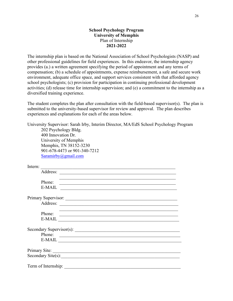#### **School Psychology Program University of Memphis** Plan of Internship **2021-2022**

The internship plan is based on the National Association of School Psychologists (NASP) and other professional guidelines for field experiences. In this endeavor, the internship agency provides (a.) a written agreement specifying the period of appointment and any terms of compensation; (b) a schedule of appointments, expense reimbursement, a safe and secure work environment, adequate office space, and support services consistent with that afforded agency school psychologists; (c) provision for participation in continuing professional development activities; (d) release time for internship supervision; and (e) a commitment to the internship as a diversified training experience.

The student completes the plan after consultation with the field-based supervisor(s). The plan is submitted to the university-based supervisor for review and approval. The plan describes experiences and explanations for each of the areas below.

| University Supervisor: Sarah Irby, Interim Director, MA/EdS School Psychology Program                                                                                                                                                          |
|------------------------------------------------------------------------------------------------------------------------------------------------------------------------------------------------------------------------------------------------|
| 202 Psychology Bldg.                                                                                                                                                                                                                           |
| 400 Innovation Dr.                                                                                                                                                                                                                             |
| University of Memphis                                                                                                                                                                                                                          |
| Memphis, TN 38152-3230                                                                                                                                                                                                                         |
| 901-678-4473 or 901-340-7212                                                                                                                                                                                                                   |
| Saramirby @gmail.com                                                                                                                                                                                                                           |
| Intern:                                                                                                                                                                                                                                        |
|                                                                                                                                                                                                                                                |
| Phone:                                                                                                                                                                                                                                         |
| E-MAIL                                                                                                                                                                                                                                         |
|                                                                                                                                                                                                                                                |
|                                                                                                                                                                                                                                                |
| <u>. In the second control of the second control of the second control of the second control of the second control of the second control of the second control of the second control of the second control of the second control</u><br>Phone: |
| $E-MAIL$                                                                                                                                                                                                                                       |
|                                                                                                                                                                                                                                                |
| Phone:                                                                                                                                                                                                                                         |
| E-MAIL LEARNING                                                                                                                                                                                                                                |
| Primary Site:                                                                                                                                                                                                                                  |
| Secondary Site(s):                                                                                                                                                                                                                             |
| Term of Internship:                                                                                                                                                                                                                            |
|                                                                                                                                                                                                                                                |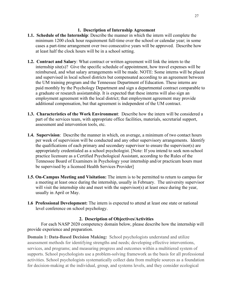#### **1. Description of Internship Agreement**

- **1.1. Schedule of the Internship**: Describe the manner in which the intern will complete the minimum 1200 clock hour requirement full-time over the school or calendar year; in some cases a part-time arrangement over two consecutive years will be approved. Describe how at least half the clock hours will be in a school setting.
- **1.2. Contract and Salary**: What contract or written agreement will link the intern to the internship site(s)? Give the specific schedule of appointment, how travel expenses will be reimbursed, and what salary arrangements will be made. NOTE: Some interns will be placed and supervised in local school districts but compensated according to an agreement between the UM training program and the Tennessee Department of Education. These interns are paid monthly by the Psychology Department and sign a departmental contract comparable to a graduate or research assistantship. It is expected that these interns will also sign an employment agreement with the local district; that employment agreement may provide additional compensation, but that agreement is independent of the UM contract.
- **1.3. Characteristics of the Work Environment**: Describe how the intern will be considered a part of the services team, with appropriate office facilities, materials, secretarial support, assessment and intervention tools, etc.
- **1.4. Supervision**: Describe the manner in which, on average, a minimum of two contact hours per week of supervision will be conducted and any other supervisory arrangements. Identify the qualifications of each primary and secondary supervisor to ensure the supervisor(s) are appropriately credentialed as a school psychologist. [Note: If you intend to seek non-school practice licensure as a Certified Psychological Assistant, according to the Rules of the Tennessee Board of Examiners in Psychology your internship and/or practicum hours must be supervised by a licensed Health Services Provider]
- **1.5. On-Campus Meeting and Visitation:** The intern is to be permitted to return to campus for a meeting at least once during the internship, usually in February. The university supervisor will visit the internship site and meet with the supervisor(s) at least once during the year, usually in April or May.
- **1.6 Professional Development:** The intern is expected to attend at least one state or national level conference on school psychology.

#### **2. Description of Objectives/Activities**

For each NASP 2020 competency domain below, please describe how the internship will provide experience and preparation.

**Domain 1: Data-Based Decision Making:** School psychologists understand and utilize assessment methods for identifying strengths and needs; developing effective interventions, services, and programs; and measuring progress and outcomes within a multitiered system of supports. School psychologists use a problem-solving framework as the basis for all professional activities. School psychologists systematically collect data from multiple sources as a foundation for decision-making at the individual, group, and systems levels, and they consider ecological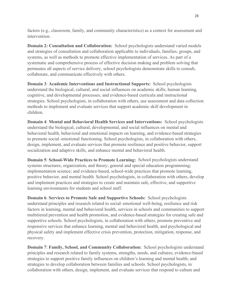factors (e.g., classroom, family, and community characteristics) as a context for assessment and intervention.

**Domain 2: Consultation and Collaboration:** School psychologists understand varied models and strategies of consultation and collaboration applicable to individuals, families, groups, and systems, as well as methods to promote effective implementation of services. As part of a systematic and comprehensive process of effective decision making and problem solving that permeates all aspects of service delivery, school psychologists demonstrate skills to consult, collaborate, and communicate effectively with others.

**Domain 3**: **Academic Interventions and Instructional Supports:** School psychologists understand the biological, cultural, and social influences on academic skills; human learning, cognitive, and developmental processes; and evidence-based curricula and instructional strategies. School psychologists, in collaboration with others, use assessment and data collection methods to implement and evaluate services that support academic skill development in children.

**Domain 4**: **Mental and Behavioral Health Services and Interventions:** School psychologists understand the biological, cultural, developmental, and social influences on mental and behavioral health, behavioral and emotional impacts on learning, and evidence-based strategies to promote social–emotional functioning. School psychologists, in collaboration with others, design, implement, and evaluate services that promote resilience and positive behavior, support socialization and adaptive skills, and enhance mental and behavioral health.

**Domain 5**: **School-Wide Practices to Promote Learning:** School psychologists understand systems structures, organization, and theory; general and special education programming; implementation science; and evidence-based, school-wide practices that promote learning, positive behavior, and mental health. School psychologists, in collaboration with others, develop and implement practices and strategies to create and maintain safe, effective, and supportive learning environments for students and school staff.

**Domain 6**: **Services to Promote Safe and Supportive Schools:** School psychologists understand principles and research related to social–emotional well-being, resilience and risk factors in learning, mental and behavioral health, services in schools and communities to support multitiered prevention and health promotion, and evidence-based strategies for creating safe and supportive schools. School psychologists, in collaboration with others, promote preventive and responsive services that enhance learning, mental and behavioral health, and psychological and physical safety and implement effective crisis prevention, protection, mitigation, response, and recovery.

**Domain 7**: **Family, School, and Community Collaboration:** School psychologists understand principles and research related to family systems, strengths, needs, and cultures; evidence-based strategies to support positive family influences on children's learning and mental health; and strategies to develop collaboration between families and schools. School psychologists, in collaboration with others, design, implement, and evaluate services that respond to culture and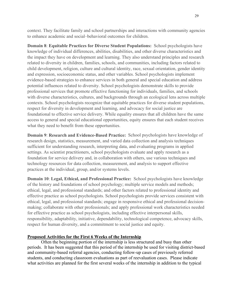context. They facilitate family and school partnerships and interactions with community agencies to enhance academic and social–behavioral outcomes for children.

**Domain 8**: **Equitable Practices for Diverse Student Populations:** School psychologists have knowledge of individual differences, abilities, disabilities, and other diverse characteristics and the impact they have on development and learning. They also understand principles and research related to diversity in children, families, schools, and communities, including factors related to child development, religion, culture and cultural identity, race, sexual orientation, gender identity and expression, socioeconomic status, and other variables. School psychologists implement evidence-based strategies to enhance services in both general and special education and address potential influences related to diversity. School psychologists demonstrate skills to provide professional services that promote effective functioning for individuals, families, and schools with diverse characteristics, cultures, and backgrounds through an ecological lens across multiple contexts. School psychologists recognize that equitable practices for diverse student populations, respect for diversity in development and learning, and advocacy for social justice are foundational to effective service delivery. While equality ensures that all children have the same access to general and special educational opportunities, equity ensures that each student receives what they need to benefit from these opportunities.

**Domain 9**: **Research and Evidence-Based Practice:** School psychologists have knowledge of research design, statistics, measurement, and varied data collection and analysis techniques sufficient for understanding research, interpreting data, and evaluating programs in applied settings. As scientist practitioners, school psychologists evaluate and apply research as a foundation for service delivery and, in collaboration with others, use various techniques and technology resources for data collection, measurement, and analysis to support effective practices at the individual, group, and/or systems levels.

**Domain 10**: **Legal, Ethical, and Professional Practice:** School psychologists have knowledge of the history and foundations of school psychology; multiple service models and methods; ethical, legal, and professional standards; and other factors related to professional identity and effective practice as school psychologists. School psychologists provide services consistent with ethical, legal, and professional standards; engage in responsive ethical and professional decisionmaking; collaborate with other professionals; and apply professional work characteristics needed for effective practice as school psychologists, including effective interpersonal skills, responsibility, adaptability, initiative, dependability, technological competence, advocacy skills, respect for human diversity, and a commitment to social justice and equity.

#### **Proposed Activities for the First 6 Weeks of the Internship**

Often the beginning portion of the internship is less structured and busy than other periods. It has been suggested that this period of the internship be used for visiting district-based and community-based referral agencies, conducting follow-up cases of previously referred students, and conducting classroom evaluations as part of reevaluation cases. Please indicate what activities are planned for the first several weeks of the internship in addition to the typical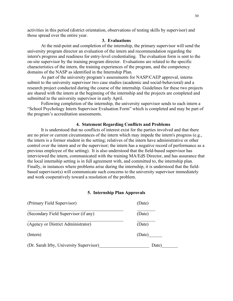activities in this period (district orientation, observations of testing skills by supervisor) and those spread over the entire year.

#### **3. Evaluations**

At the mid-point and completion of the internship, the primary supervisor will send the university program director an evaluation of the intern and recommendation regarding the intern's progress and readiness for entry-level credentialing. The evaluation form is sent to the on-site supervisor by the training program director. Evaluations are related to the specific characteristics of the intern, the training experiences of the program, and the competency domains of the NASP as identified in the Internship Plan.

As part of the university program's assessments for NASP/CAEP approval, interns submit to the university supervisor two case studies (academic and social-behavioral) and a research project conducted during the course of the internship. Guidelines for these two projects are shared with the intern at the beginning of the internship and the projects are completed and submitted to the university supervisor in early April.

Following completion of the internship, the university supervisor sends to each intern a "School Psychology Intern Supervisor Evaluation Form" which is completed and may be part of the program's accreditation assessments.

#### **4. Statement Regarding Conflicts and Problems**

It is understood that no conflicts of interest exist for the parties involved and that there are no prior or current circumstances of the intern which may impede the intern's progress (e.g., the intern is a former student in the setting; relatives of the intern have administrative or other control over the intern and or the supervisor; the intern has a negative record of performance as a previous employee of the setting). It is also understood that the field-based supervisor has interviewed the intern, communicated with the training MA/EdS Director, and has assurance that the local internship setting is in full agreement with, and committed to, the internship plan. Finally, in instances where problems arise during the internship, it is understood that the fieldbased supervisor(s) will communicate such concerns to the university supervisor immediately and work cooperatively toward a resolution of the problem.

#### **5. Internship Plan Approvals**

| (Primary Field Supervisor)              | (Date) |
|-----------------------------------------|--------|
| (Secondary Field Supervisor (if any)    | (Date) |
| (Agency or District Administrator)      | (Date) |
| (Intern)                                | (Date) |
| (Dr. Sarah Irby, University Supervisor) | Date)  |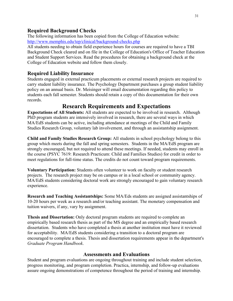#### **Required Background Checks**

The following information has been copied from the College of Education website: <http://www.memphis.edu/tep/clinical/background-checks.php>

All students needing to obtain field experience hours for courses are required to have a TBI Background Check cleared and on file in the College of Education's Office of Teacher Education and Student Support Services. Read the procedures for obtaining a background check at the College of Education website and follow them closely.

#### **Required Liability Insurance**

Students engaged in external practicum placements or external research projects are required to carry student liability insurance. The Psychology Department purchases a group student liability policy on an annual basis. Dr. Meisinger will email documentation regarding this policy to students each fall semester. Students should retain a copy of this documentation for their own records.

## **Research Requirements and Expectations**

**Expectations of All Students:** All students are expected to be involved in research. Although PhD program students are intensively involved in research, there are several ways in which MA/EdS students can be active, including attendance at meetings of the Child and Family Studies Research Group, voluntary lab involvement, and through an assistantship assignment.

**Child and Family Studies Research Group:** All students in school psychology belong to this group which meets during the fall and spring semesters. Students in the MA/EdS program are strongly encouraged, but not required to attend these meetings. If needed, students may enroll in the course (PSYC 7619: Research Practicum: Child and Families Studies) for credit in order to meet regulations for full-time status. The credits do not count toward program requirements.

**Voluntary Participation:** Students often volunteer to work on faculty or student research projects. The research project may be on campus or in a local school or community agency. MA/EdS students considering doctoral work are strongly encouraged to gain voluntary research experience.

**Research and Teaching Assistantships:** Some MA/Eds students are assigned assistantships of 10-20 hours per week as a research and/or teaching assistant. The monetary compensation and tuition waivers, if any, vary by assignment.

**Thesis and Dissertation:** Only doctoral program students are required to complete an empirically based research thesis as part of the MS degree and an empirically based research dissertation. Students who have completed a thesis at another institution must have it reviewed for acceptability. MA/EdS students considering a transition to a doctoral program are encouraged to complete a thesis. Thesis and dissertation requirements appear in the department's *Graduate Program Handbook*.

#### **Assessments and Evaluations**

Student and program evaluations are ongoing throughout training and include student selection, progress monitoring, and program completion. Practica, internship, and follow-up evaluations assure ongoing demonstrations of competence throughout the period of training and internship.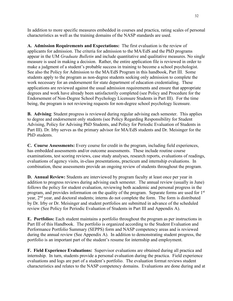In addition to more specific measures embedded in courses and practica, rating scales of personal characteristics as well as the training domains of the NASP standards are used.

**A. Admission Requirements and Expectations:** The first evaluation is the review of applicants for admission. The criteria for admission to the MA/EdS and the PhD programs appear in the UM *Graduate Bulletin* and include quantitative and qualitative measures. No single measure is used in making a decision. Rather, the entire application file is reviewed in order to make a judgment of a student's probable success in training to become a school psychologist. See also the Policy for Admission to the MA/EdS Program in this handbook, Part III. Some students apply to the program as non-degree students seeking only admission to complete the work necessary for an endorsement for state department of education credentialing. These applications are reviewed against the usual admission requirements and ensure that appropriate degrees and work have already been satisfactorily completed (see Policy and Procedure for the Endorsement of Non-Degree School Psychology Licensure Students in Part III). For the time being, the program is not reviewing requests for non-degree school psychology licensure.

**B. Advising**: Student progress is reviewed during regular advising each semester. This applies to degree and endorsement only students (see Policy Regarding Responsibility for Student Advising, Policy for Advising PhD Students, and Policy for Periodic Evaluation of Students in Part III). Dr. Irby serves as the primary advisor for MA/EdS students and Dr. Meisinger for the PhD students.

**C. Course Assessments:** Every course for credit in the program, including field experiences, has embedded assessments and/or outcome assessments. These include routine course examinations, test scoring reviews, case study analyses, research reports, evaluations of readings, evaluations of agency visits, in-class presentations, practicum and internship evaluations. In combination, these assessments provide an ongoing review of students throughout the program.

**D. Annual Review:** Students are interviewed by program faculty at least once per year in addition to progress reviews during advising each semester. The annual review (usually in June) follows the policy for student evaluation, reviewing both academic and personal progress in the program, and provides information on the quality of the program. Separate forms are used for 1<sup>st</sup> year, 2nd year, and doctoral students; interns do not complete the form. The form is distributed by Dr. Irby or Dr. Meisinger and student portfolios are submitted in advance of the scheduled review (See Policy for Periodic Evaluation of Students in Part III and Appendix A).

**E. Portfolios:** Each student maintains a portfolio throughout the program as per instructions in Part III of this Handbook. The portfolio is organized according to the Student Evaluation and Performance Portfolio Summary (SEPPS) form and NASP competency areas and is reviewed during the annual review (See Appendix A). In addition to demonstrating student progress, the portfolio is an important part of the student's resume for internship and employment.

**F. Field Experience Evaluations:** Supervisor evaluations are obtained during all practica and internship. In turn, students provide a personal evaluation during the practica. Field experience evaluations and logs are part of a student's portfolio. The evaluation format reviews student characteristics and relates to the NASP competency domains. Evaluations are done during and at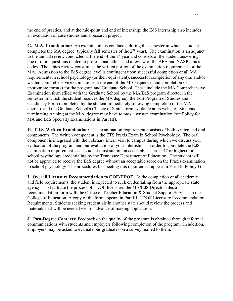the end of practica, and at the mid-point and end of internship; the EdS internship also includes an evaluation of case studies and a research project.

**G. M.A. Examination:** An examination is conducted during the semester in which a student completes the MA degree (typically fall semester of the  $2<sup>nd</sup>$  year). The examination is an adjunct to the annual review conducted at the end of the 1<sup>st</sup> year and consists of the student answering one or more questions related to professional ethics and a review of the APA and NASP ethics codes. The ethics review constitutes the written portion of the examination requirement for the MA. Admission to the EdS degree level is contingent upon successful completion of all MA requirements in school psychology (or their equivalent), successful completion of any oral and/or written comprehensive examinations at the end of the MA sequence, and completion of appropriate form(s) for the program and Graduate School: These include the MA Comprehensive Examination form (filed with the Graduate School by the MA/EdS program director in the semester in which the student receives the MA degree), the EdS Program of Studies and Candidacy Form (completed by the student immediately following completion of the MA degree), and the Graduate School's Change of Status form available at its website. Students terminating training at the M.A. degree may have to pass a written examination (see Policy for MA and EdS Specialty Examinations in Part III).

**H. Ed.S. Written Examination:** The examination requirement consists of both written and oral components. The written component is the ETS Praxis Exam in School Psychology. The oral component is integrated with the February intern visit to campus during which we discuss your evaluation of the program and our evaluation of your internship. In order to complete the EdS examination requirement, each student must submit an acceptable score (147 or higher) for school psychology credentialing by the Tennessee Department of Education. The student will not be approved to receive the EdS degree without an acceptable score on the Praxis examination in school psychology. The procedures for meeting this requirement appear in Part-III, Policy-G.

**I. Overall Licensure Recommendation to COE/TDOE:** At the completion of all academic and field requirements, the student is expected to seek credentialing from the appropriate state agency. To facilitate the process of TDOE licensure, the MA/EdS Director files a recommendation form with the Office of Teacher Education & Student Support Services in the College of Education. A copy of the form appears in Part III, TDOE Licensure Recommendation Requirements. Students seeking credentials in another state should review the process and materials that will be needed well in advance of making application.

**J. Post-Degree Contacts:** Feedback on the quality of the program is obtained through informal communications with students and employers following completion of the program. In addition, employers may be asked to evaluate our graduates on a survey mailed to them.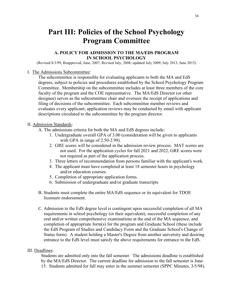# **Part III: Policies of the School Psychology Program Committee**

#### **A. POLICY FOR ADMISSION TO THE MA/EDS PROGRAM IN SCHOOL PSYCHOLOGY**

(Revised 8/3/99, Reapproved, June, 2007, Revised July, 2008; updated July 2009, July 2013, June 2015)

#### I. The Admissions Subcommittee:

The subcommittee is responsible for evaluating applicants to both the MA and EdS degrees, subject to policies and procedures established by the School Psychology Program Committee. Membership on the subcommittee includes at least three members of the core faculty of the program and the COE representative. The MA/EdS Director (or other designee) serves as the subcommittee chair and oversees the receipt of applications and filing of decisions of the subcommittee. Each subcommittee member reviews and evaluates every applicant; application reviews may be conducted by email with applicant descriptions circulated to the subcommittee by the program director.

#### II. Admission Standards:

- A. The admissions criteria for both the MA and EdS degrees include:
	- 1. Undergraduate overall GPA of 3.00 (consideration will be given to applicants with GPA in range of 2.50-2.99).
	- 2. GRE scores will be considered in the admission review process. MAT scores are not used. For the application cycles for fall 2021 and 2022, GRE scores were not required as part of the application process.
	- 3. Three letters of recommendation from persons familiar with the applicant's work.
	- 4. The applicant must have completed at least 18 semester hours in psychology and/or education courses.
	- 5. Completion of appropriate application forms.
	- 6. Submission of undergraduate and/or graduate transcripts
- B. Students must complete the entire MA/EdS sequence or its equivalent for TDOE licensure endorsement.
- C. Admission to the EdS degree level is contingent upon successful completion of all MA requirements in school psychology (or their equivalent), successful completion of any oral and/or written comprehensive examinations at the end of the MA sequence, and completion of appropriate form(s) for the program and Graduate School (these include the EdS Program of Studies and Candidacy Form and the Graduate School's Change of Status form). A student holding a Master's Degree from another university and desiring entrance to the EdS level must satisfy the above requirements for entrance to the EdS.

#### III. Deadlines:

Students are admitted only into the fall semester. The admissions deadline is established by the MA/EdS Director. The current deadline for admission to the fall semester is June 15. Students admitted for fall may enter in the summer semester (SPPC Minutes, 3/5/98).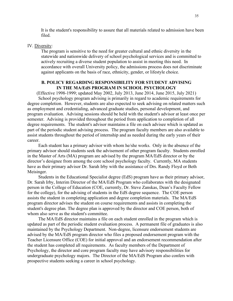It is the student's responsibility to assure that all materials related to admission have been filed.

#### IV. Diversity:

The program is sensitive to the need for greater cultural and ethnic diversity in the statewide and nationwide delivery of school psychological services and is committed to actively recruiting a diverse student population to assist in meeting this need. In accordance with overall University policy, the admissions process does not discriminate against applicants on the basis of race, ethnicity, gender, or lifestyle choice.

#### **B. POLICY REGARDING RESPONSIBILITY FOR STUDENT ADVISING IN THE MA/EdS PROGRAM IN SCHOOL PSYCHOLOGY**

(Effective 1998-1999; updated May 2002, July 2013, June 2014, June 2015, July 2021) School psychology program advising is primarily in regard to academic requirements for degree completion. However, students are also expected to seek advising on related matters such as employment and credentialing, advanced graduate studies, personal development, and program evaluation. Advising sessions should be held with the student's advisor at least once per semester. Advising is provided throughout the period from application to completion of all degree requirements. The student's advisor maintains a file on each advisee which is updated as part of the periodic student advising process. The program faculty members are also available to assist students throughout the period of internship and as needed during the early years of their career.

Each student has a primary advisor with whom he/she works. Only in the absence of the primary advisor should students seek the advisement of other program faculty. Students enrolled in the Master of Arts (MA) program are advised by the program MA/EdS director or by the director's designee from among the core school psychology faculty. Currently, MA students have as their primary advisor Dr. Sarah Irby with the assistance of Drs. Randy Floyd or Beth Meisinger.

Students in the Educational Specialist degree (EdS) program have as their primary advisor, Dr. Sarah Irby, Interim Director of the MA/EdS Program who collaborates with the designated person in the College of Education (COE, currently, Dr. Steve Zanskas, Dean's Faculty Fellow for the college), for the advising of students in the EdS degree sequence. The COE person assists the student in completing application and degree completion materials. The MA/EdS program director advises the student on course requirements and assists in completing the student's degree plan. The degree plan is approved by the director and COE person, both of whom also serve as the student's committee.

The MA/EdS director maintains a file on each student enrolled in the program which is updated as part of the periodic student evaluation process. A permanent file of graduates is also maintained by the Psychology Department. Non-degree, licensure endorsement students are advised by the MA/EdS program director who files a proposed endorsement program with the Teacher Licensure Office (COE) for initial approval and an endorsement recommendation after the student has completed all requirements. As faculty members of the Department of Psychology, the director and core program faculty may have advisory responsibilities for undergraduate psychology majors. The Director of the MA/EdS Program also confers with prospective students seeking a career in school psychology.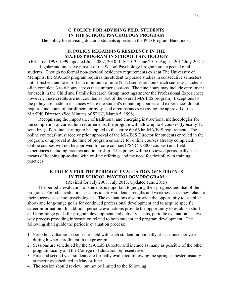#### **C. POLICY FOR ADVISING PH.D. STUDENTS IN THE SCHOOL PSYCHOLOGY PROGRAM**

The policy for advising doctoral students appears in the PhD Program Handbook.

#### **D. POLICY REGARDING RESIDENCY IN THE MA/EDS PROGRAM IN SCHOOL PSYCHOLOGY**

(Effective 1998-1999, updated June 2007, 2010, July 2013, June 2015, August 2017 July 2021) Regular and intensive pursuit of the School Psychology Program are expected of all

students. Though no formal non-doctoral residency requirements exist at The University of Memphis, the MA/EdS program requires the student to pursue studies in consecutive semesters until finished, and to enroll in a minimum of nine (9-12) semester hours each semester; students often complete 3 to 6 hours across the summer sessions. The nine hours may include enrollment for credit in the Child and Family Research Group meetings and/or the Professional Experience; however, these credits are not counted as part of the overall MA/EdS program). Exceptions to the policy are made in instances where the student's remaining courses and experiences do not require nine hours of enrollment, or by special circumstances receiving the approval of the MA/EdS Director. (See Minutes of SPCC, March 5, 1998)

Recognizing the importance of traditional and emerging instructional methodologies for the completion of curriculum requirements, the program will allow up to 4 courses (typically 12 sem. hrs.) of on-line learning to be applied to the entire 60-66 hr. MA/EdS requirement. The online course(s) must receive prior approval of the MA/EdS Director for students enrolled in the program, or approval at the time of program entrance for online courses already completed. Online courses will not be approved for core courses (PSYC 7/8800 courses) and field experiences including practica and internship. This policy will be reviewed periodically as a means of keeping up-to-date with on-line offerings and the need for flexibility in training practices.

#### **E. POLICY FOR THE PERIODIC EVALUATION OF STUDENTS IN THE SCHOOL PSYCHOLOGY PROGRAM**

(Revised for July 2008, July 2013, Updated June 2015)

The periodic evaluation of students is important to judging their progress and that of the program. Periodic evaluation sessions identify student strengths and weaknesses as they relate to their success as school psychologists. The evaluations also provide the opportunity to establish short- and long-range goals for continued professional development and to acquire specific career information. In addition, periodic evaluations provide the opportunity to establish shortand long-range goals for program development and delivery. Thus, periodic evaluation is a twoway process providing information related to both student and program development. The following shall guide the periodic evaluation process:

- 1. Periodic evaluation sessions are held with each student individually at least once per year during his/her enrollment in the program.
- 2. Sessions are scheduled by the MA/EdS Director and include as many as possible of the other program faculty and the College of Education representative.
- 3. First and second year students are formally evaluated following the spring semester, usually at meetings scheduled in May or June.
- 4. The session should review, but not be limited to the following: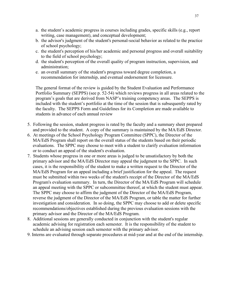- a. the student's academic progress in courses including grades, specific skills (e.g., report writing, case management), and conceptual development;
- b. the advisor's judgment of the student's personal-social behavior as related to the practice of school psychology;
- c. the student's perception of his/her academic and personal progress and overall suitability to the field of school psychology;
- d. the student's perception of the overall quality of program instruction, supervision, and administration;
- e. an overall summary of the student's progress toward degree completion, a recommendation for internship, and eventual endorsement for licensure.

The general format of the review is guided by the Student Evaluation and Performance Portfolio Summary (SEPPS) (see p. 52-54) which reviews progress in all areas related to the program's goals that are derived from NASP's training competency areas. The SEPPS is included with the student's portfolio at the time of the session that is subsequently rated by the faculty. The SEPPS Form and Guidelines for its Completion are made available to students in advance of each annual review

- 5. Following the session, student progress is rated by the faculty and a summary sheet prepared and provided to the student. A copy of the summary is maintained by the MA/EdS Director.
- 6. At meetings of the School Psychology Program Committee (SPPC), the Director of the MA/EdS Program shall report on the overall status of the students based on their periodic evaluations. The SPPC may choose to meet with a student to clarify evaluation information or to conduct an appeal of the student's evaluation.
- 7. Students whose progress in one or more areas is judged to be unsatisfactory by both the primary advisor and the MA/EdS Director may appeal the judgment to the SPPC. In such cases, it is the responsibility of the student to make a written request to the Director of the MA/EdS Program for an appeal including a brief justification for the appeal. The request must be submitted within two weeks of the student's receipt of the Director of the MA/EdS Program's evaluation summary. In turn, the Director of the MA/EdS Program will schedule an appeal meeting with the SPPC or subcommittee thereof, at which the student must appear. The SPPC may choose to affirm the judgment of the Director of the MA/EdS Program, reverse the judgment of the Director of the MA/EdS Program, or table the matter for further investigation and consideration. In so doing, the SPPC may choose to add or delete specific recommendations/objectives established during the previous evaluation sessions with the primary advisor and the Director of the MA/EdS Program.
- 8. Additional sessions are generally conducted in conjunction with the student's regular academic advising for registration each semester. It is the responsibility of the student to schedule an advising session each semester with the primary advisor.
- 9. Interns are evaluated through separate procedures at mid-year and at the end of the internship.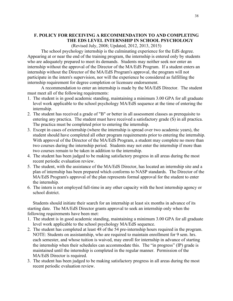#### **F. POLICY FOR RECEIVING A RECOMMENDATION TO AND COMPLETING THE EDS LEVEL INTERNSHIP IN SCHOOL PSYCHOLOGY**

(Revised July, 2008; Updated, 2012, 2013, 2015)

The school psychology internship is the culminating experience for the EdS degree. Appearing at or near the end of the training program, the internship is entered only by students who are adequately prepared to meet its demands. Students may neither seek nor enter an internship without the approval of the Director of the MA/EdS Program. If a student enters an internship without the Director of the MA/EdS Program's approval, the program will not participate in the intern's supervision, nor will the experience be considered as fulfilling the internship requirement for degree completion or licensure endorsement.

A recommendation to enter an internship is made by the MA/EdS Director. The student must meet all of the following requirements:

- 1. The student is in good academic standing, maintaining a minimum 3.00 GPA for all graduate level work applicable to the school psychology MA/EdS sequence at the time of entering the internship.
- 2. The student has received a grade of "B" or better in all assessment classes as prerequisite to entering any practica. The student must have received a satisfactory grade (S) in all practica. The practica must be completed prior to entering the internship.
- 3. Except in cases of externship (where the internship is spread over two academic years), the student should have completed all other program requirements prior to entering the internship. With approval of the Director of the MA/EdS Program, a student may complete no more than two courses during the internship period. Students may not enter the internship if more than two courses remain to be taken in addition to the internship.
- 4. The student has been judged to be making satisfactory progress in all areas during the most recent periodic evaluation review.
- 5. The student, with the assistance of the MA/EdS Director, has located an internship site and a plan of internship has been prepared which conforms to NASP standards. The Director of the MA/EdS Program's approval of the plan represents formal approval for the student to enter the internship.
- 6. The intern is not employed full-time in any other capacity with the host internship agency or school district.

Students should initiate their search for an internship at least six months in advance of its starting date. The MA/EdS Director grants approval to seek an internship only when the following requirements have been met:

- 1. The student is in good academic standing, maintaining a minimum 3.00 GPA for all graduate level work applicable to the school psychology MA/EdS sequence.
- 2. The student has completed at least 48 of the 54 pre-internship hours required in the program. NOTE: Students on assistantship, who are required to maintain enrollment for 9 sem. hrs. each semester, and whose tuition is waived, may enroll for internship in advance of starting the internship when their schedules can accommodate this. The "in progress" (IP) grade is maintained until the internship is completed in the regular manner. Permission of the MA/EdS Director is required.
- 3. The student has been judged to be making satisfactory progress in all areas during the most recent periodic evaluation review.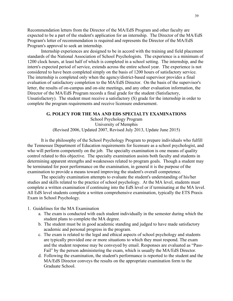Recommendation letters from the Director of the MA/EdS Program and other faculty are expected to be a part of the student's application for an internship. The Director of the MA/EdS Program's letter of recommendation is required and represents the Director of the MA/EdS Program's approval to seek an internship.

Internship experiences are designed to be in accord with the training and field placement standards of the National Association of School Psychologists. The experience is a minimum of 1200 clock hours, at least half of which is completed in a school setting. The internship, and the intern's expected period of service, extends across the entire school year. The experience is not considered to have been completed simply on the basis of 1200 hours of satisfactory service. The internship is completed only when the agency/district-based supervisor provides a final evaluation of satisfactory completion to the MA/EdS Director. On the basis of the supervisor's letter, the results of on-campus and on-site meetings, and any other evaluation information, the Director of the MA/EdS Program records a final grade for the student (Satisfactory, Unsatisfactory). The student must receive a satisfactory (S) grade for the internship in order to complete the program requirements and receive licensure endorsement.

#### **G. POLICY FOR THE MA AND EDS SPECIALTY EXAMINATIONS**

School Psychology Program University of Memphis (Revised 2006, Updated 2007, Revised July 2013, Update June 2015)

It is the philosophy of the School Psychology Program to prepare individuals who fulfill the Tennessee Department of Education requirements for licensure as a school psychologist, and who will perform competently on the job. The specialty examination is one means of quality control related to this objective. The specialty examination assists both faculty and students in determining apparent strengths and weaknesses related to program goals. Though a student may be terminated for poor performance on the examination, in general it is the purpose of the examination to provide a means toward improving the student's overall competence.

The specialty examination attempts to evaluate the student's understanding of his/her studies and skills related to the practice of school psychology. At the MA level, students must complete a written examination if continuing into the EdS level or if terminating at the MA level. All EdS level students complete a written comprehensive examination, typically the ETS Praxis Exam in School Psychology.

1. Guidelines for the MA Examination

- a. The exam is conducted with each student individually in the semester during which the student plans to complete the MA degree.
- b. The student must be in good academic standing and judged to have made satisfactory academic and personal progress in the program.
- c. The exam is related to the legal and ethical aspects of school psychology and students are typically provided one or more situations to which they must respond. The exam and the student response may be conveyed by email. Responses are evaluated as "Pass-Fail" by the person administering the exam, which is usually the MA/EdS Director.
- d. Following the examination, the student's performance is reported to the student and the MA/EdS Director conveys the results on the appropriate examination form to the Graduate School.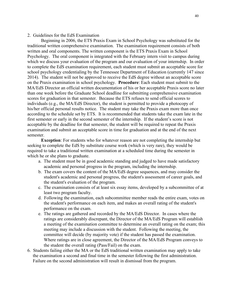#### 2. Guidelines for the EdS Examination

Beginning in 2006, the ETS Praxis Exam in School Psychology was substituted for the traditional written comprehensive examination. The examination requirement consists of both written and oral components. The written component is the ETS Praxis Exam in School Psychology. The oral component is integrated with the February intern visit to campus during which we discuss your evaluation of the program and our evaluation of your internship. In order to complete the EdS examination requirement, each student must submit an acceptable score for school psychology credentialing by the Tennessee Department of Education (currently 147 since 2014). The student will not be approved to receive the EdS degree without an acceptable score on the Praxis examination in school psychology. **Procedure**: Each student must submit to the MA/EdS Director an official written documentation of his or her acceptable Praxis score no later than one week before the Graduate School deadline for submitting comprehensive examination scores for graduation in that semester. Because the ETS refuses to send official scores to individuals (e.g., the MA/EdS Director), the student is permitted to provide a photocopy of his/her official personal results notice. The student may take the Praxis exam more than once according to the schedule set by ETS. It is recommended that students take the exam late in the first semester or early in the second semester of the internship. If the student's score is not acceptable by the deadline for that semester, the student will be required to repeat the Praxis examination and submit an acceptable score in time for graduation and at the end of the next semester.

**Exception**: For students who for whatever reason are not completing the internship but seeking to complete the EdS by substitute course work (which is very rare), they would be required to take a traditional written examination at a scheduled time during the semester in which he or she plans to graduate.

- a. The student must be in good academic standing and judged to have made satisfactory academic and personal progress in the program, including the internship.
- b. The exam covers the content of the MA/EdS degree sequences, and may consider the student's academic and personal progress, the student's assessment of career goals, and the student's evaluation of the program.
- c. The examination consists of at least six essay items, developed by a subcommittee of at least two program faculty.
- d. Following the examination, each subcommittee member reads the entire exam, votes on the student's performance on each item, and makes an overall rating of the student's performance on the exam.
- e. The ratings are gathered and recorded by the MA/EdS Director. In cases where the ratings are considerably discrepant, the Director of the MA/EdS Program will establish a meeting of the examination committee to determine an overall rating on the exam; this meeting may include a discussion with the student. Following the meeting, the committee will decide (by majority vote) if the student has passed the examination. Where ratings are in close agreement, the Director of the MA/EdS Program conveys to the student the overall rating (Pass/Fail) on the exam.
- 6. Students failing either the MA or the EdS traditional written examination may apply to take the examination a second and final time in the semester following the first administration. Failure on the second administration will result in dismissal from the program.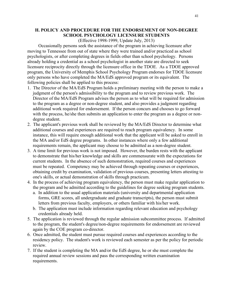#### **H. POLICY AND PROCEDURE FOR THE ENDORSEMENT OF NON-DEGREE SCHOOL PSYCHOLOGY LICENSURE STUDENTS**

#### (Effective 1998-1999, Update July, 2013)

Occasionally persons seek the assistance of the program in achieving licensure after moving to Tennessee from out of state where they were trained and/or practiced as school psychologists, or after completing degrees in fields other than school psychology. Persons already holding a credential as a school psychologist in another state are directed to seek licensure reciprocity directly through the licensure office in the TDOE. As a TDOE approved program, the University of Memphis School Psychology Program endorses for TDOE licensure only persons who have completed the MA/EdS approved program or its equivalent. The following policies shall be applied to this process:

- 1. The Director of the MA/EdS Program holds a preliminary meeting with the person to make a judgment of the person's admissibility to the program and to review previous work. The Director of the MA/EdS Program advises the person as to what will be required for admission to the program as a degree or non-degree student, and also provides a judgment regarding additional work required for endorsement. If the person concurs and chooses to go forward with the process, he/she then submits an application to enter the program as a degree or nondegree student.
- 2. The applicant's previous work shall be reviewed by the MA/EdS Director to determine what additional courses and experiences are required to reach program equivalency. In some instance, this will require enough additional work that the applicant will be asked to enroll in the MA and/or EdS degree programs. In other instances where only a few additional requirements remain, the applicant may choose to be admitted as a non-degree student.
- 3. A time limit for previous work is not imposed. However, the burden rests with the applicant to demonstrate that his/her knowledge and skills are commensurate with the expectations for current students. In the absence of such demonstration, required courses and experiences must be repeated. Competency may be achieved through repeating courses or experiences, obtaining credit by examination, validation of previous courses, presenting letters attesting to one's skills, or actual demonstration of skills through practicum.
- 4. In the process of achieving program equivalency, the person must make regular application to the program and be admitted according to the guidelines for degree seeking program students.
	- a. In addition to the usual application materials (university and departmental application forms, GRE scores, all undergraduate and graduate transcripts), the person must submit letters from previous faculty, employers, or others familiar with his/her work.
	- b. The application must include information regarding relevant education and psychology credentials already held.
- 5. The application is reviewed through the regular admission subcommittee process. If admitted to the program, the student's degree/non-degree requirements for endorsement are reviewed again by the COE program co-director.
- 6. Once admitted, the student must pursue required courses and experiences according to the residency policy. The student's work is reviewed each semester as per the policy for periodic review.
- 7. If the student is completing the MA and/or the EdS degree, he or she must complete the required annual review sessions and pass the corresponding written examination requirements.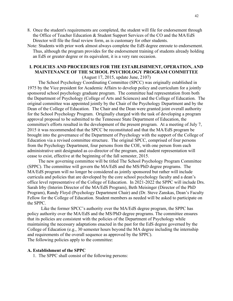- 8. Once the student's requirements are completed, the student will file for endorsement through the Office of Teacher Education & Student Support Services of the CO and the MA/EdS Director will file the final review form, as is customary for other students.
- Note: Students with prior work almost always complete the EdS degree enroute to endorsement. Thus, although the program provides for the endorsement training of students already holding an EdS or greater degree or its equivalent, it is a very rare occasion.

#### **I. POLICIES AND PROCEDURES FOR THE ESTABLISHMENT, OPERATION, AND MAINTENANCE OF THE SCHOOL PSYCHOLOGY PROGRAM COMMITTEE** (August 17, 2015, update June, 2107)

The School Psychology Coordinating Committee (SPCC) was originally established in 1975 by the Vice president for Academic Affairs to develop policy and curriculum for a jointly sponsored school psychology graduate program. The committee had representation from both the Department of Psychology (College of Arts and Sciences) and the College of Education. The original committee was appointed jointly by the Chair of the Psychology Department and by the Dean of the College of Education. The Chair and the Dean were granted joint overall authority for the School Psychology Program. Originally charged with the task of developing a program approval proposal to be submitted to the Tennessee State Department of Education, the committee's efforts resulted in the development of the present program. At a meeting of July 7, 2015 it was recommended that the SPCC be reconstituted and that the MA/EdS program be brought into the governance of the Department of Psychology with the support of the College of Education via a revised committee structure. The original SPCC, comprised of four persons from the Psychology Department, four persons from the COE, with one person from each administrative unit designated as co-director of the program, and student representation will cease to exist, effective at the beginning of the fall semester, 2015.

The new governing committee will be titled The School Psychology Program Committee (SPPC). The committee will govern the MA/EdS and the MS/PhD degree programs. The MA/EdS program will no longer be considered as jointly sponsored but rather will include curricula and policies that are developed by the core school psychology faculty and a dean's office level representative of the College of Education. In 2021-2022 the SPPC will include Drs. Sarah Irby (Interim Director of the MA/EdS Program), Beth Meisinger (Director of the PhD Program), Randy Floyd (Psychology Department Chair) and (Dr. Steve Zanskas, Dean's Faculty Fellow for the College of Education. Student members as needed will be asked to participate on the SPPC.

Like the former SPCC's authority over the MA/EdS degree program, the SPPC has policy authority over the MA/EdS and the MS/PhD degree programs. The committee ensures that its policies are consistent with the policies of the Department of Psychology while maintaining the necessary adaptations enacted in the past for the EdS degree governed by the College of Education (e.g., 30 semester hours beyond the MA degree including the internship and requirements of the overall sequence as approved by the SPPC). The following policies apply to the committee:

#### **A. Establishment of the SPPC**

1. The SPPC shall consist of the following persons: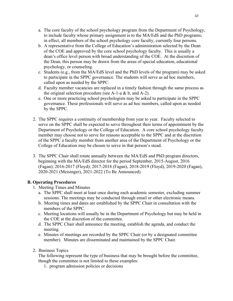- a. The core faculty of the school psychology program from the Department of Psychology, to include faculty whose primary assignment is to the MA/EdS and the PhD programs; in effect, all members of the school psychology core faculty; currently four persons.
- b. A representative from the College of Education's administration selected by the Dean of the COE and approved by the core school psychology faculty. This is usually a dean's office level person with broad understanding of the COE. At the discretion of the Dean, this person may be drawn from the areas of special education, educational psychology, or counseling.
- c. Students (e.g., from the MA/EdS level and the PhD levels of the program) may be asked to participate in the SPPC governance. The students will serve as ad hoc members, called upon as needed by the SPPC.
- d. Faculty member vacancies are replaced in a timely fashion through the same process as the original selection procedure (see A-1-a  $& b$ , and A-2).
- e. One or more practicing school psychologists may be asked to participate in the SPPC governance. These professionals will serve as ad hoc members, called upon as needed by the SPPC.
- 2. The SPPC requires a continuity of membership from year to year. Faculty selected to serve on the SPPC shall be expected to serve throughout their terms of appointment by the Department of Psychology or the College of Education. A core school psychology faculty member may choose not to serve for reasons acceptable to the SPPC and at the discretion of the SPPC a faculty member from another area of the Department of Psychology or the College of Education may be chosen to serve in that person's stead.
- 3. The SPPC Chair shall rotate annually between the MA/EdS and PhD program directors, beginning with the MA/EdS director for the period September, 2015-August, 2016 (Fagan); 2016-2017 (Floyd); 2017-2018 (Fagan), 2018-2019 (Floyd), 2019-2020 (Fagan), 2020-2021 (Meisinger), 2021-2022 (To Be Announced).

#### **B. Operating Procedures**

- 1. Meeting Times and Minutes
	- a. The SPPC shall meet at least once during each academic semester, excluding summer sessions. The meetings may be conducted through email or other electronic means.
	- b. Meeting times and dates are established by the SPPC Chair in consultation with the members of the SPPC.
	- c. Meeting locations will usually be in the Department of Psychology but may be held in the COE at the discretion of the committee.
	- d. The SPPC Chair shall announce the meeting, establish the agenda, and conduct the meeting.
	- e. Minutes of meetings are recorded by the SPPC Chair (or by a designated committee member). Minutes are disseminated and maintained by the SPPC Chair.
- 2. Business Topics

The following represent the type of business that may be brought before the committee, though the committee is not limited to these examples:

1. program admission policies or decisions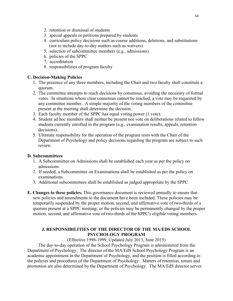- 2. retention or dismissal of students
- 3. special appeals or petitions prepared by students
- 4. curriculum policy decisions such as course additions, deletions, and substitutions (not to include day-to-day matters such as waivers)
- 5. selection of subcommittee members (e.g., admissions)
- 6. policies of the SPPC
- 7. accreditation
- 8. responsibilities of program faculty

#### **C. Decision-Making Policies**

- 1. The presence of any three members, including the Chair and two faculty shall constitute a quorum.
- 2. The committee attempts to reach decisions by consensus, avoiding the necessity of formal votes. In situations where clear consensus cannot be reached, a vote may be requested by any committee member. A simple majority of the voting members of the committee present at the meeting shall determine the decision.
- 3. Each faculty member of the SPPC has equal voting power (1 vote).
- 4. Student ad hoc members shall neither be present nor vote on deliberations related to fellow students currently enrolled in the program (e.g., examination results, appeals, retention decisions).
- 5. Ultimate responsibility for the operation of the program rests with the Chair of the Department of Psychology and policy decisions regarding the program are subject to such review.

#### **D. Subcommittees**

- 1. A Subcommittee on Admissions shall be established each year as per the policy on admissions.
- 2. If needed, a Subcommittee on Examinations shall be established as per the policy on examinations.
- 3. Additional subcommittees shall be established as judged appropriate by the SPPC.
- **E. Changes to these policies.** This governance document is reviewed annually to ensure that new policies and amendments to the document have been included. These policies may be temporarily suspended by the proper motion, second, and affirmative vote of two-thirds of a quorum present at a SPPC meeting; or the policies may be permanently changed by the proper motion, second, and affirmative vote of two-thirds of the SPPC's eligible voting members.

#### **J. RESPONSIBILITIES OF THE DIRECTOR OF THE MA/EDS SCHOOL PSYCHOLOGY PROGRAM**

(Effective 1998-1999, Updated July 2013, June 2015)

The day-to-day operation of the School Psychology Program is administered from the Department of Psychology. The director of the MA/EdS School Psychology Program is an academic appointment in the Department of Psychology, and the position is filled according to the policies and procedures of the Department of Psychology. Matters of retention, tenure and promotion are also determined by the Department of Psychology. The MA/EdS director serves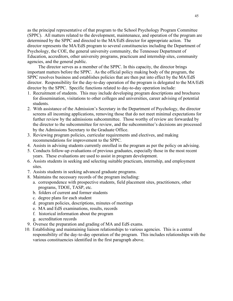as the principal representative of that program to the School Psychology Program Committee (SPPC). All matters related to the development, maintenance, and operation of the program are determined by the SPPC and directed to the MA/EdS director for appropriate action. The director represents the MA/EdS program to several constituencies including the Department of Psychology, the COE, the general university community, the Tennessee Department of Education, accreditors, other university programs, practicum and internship sites, community agencies, and the general public.

The director serves as a member of the SPPC. In this capacity, the director brings important matters before the SPPC. As the official policy making body of the program, the SPPC resolves business and establishes policies that are then put into effect by the MA/EdS director. Responsibility for the day-to-day operation of the program is delegated to the MA/EdS director by the SPPC. Specific functions related to day-to-day operation include:

- 1. Recruitment of students. This may include developing program descriptions and brochures for dissemination, visitations to other colleges and universities, career advising of potential students.
- 2. With assistance of the Admission's Secretary in the Department of Psychology, the director screens all incoming applications, removing those that do not meet minimal expectations for further review by the admissions subcommittee. Those worthy of review are forwarded by the director to the subcommittee for review, and the subcommittee's decisions are processed by the Admissions Secretary to the Graduate Office.
- 3. Reviewing program policies, curricular requirements and electives, and making recommendations for improvement to the SPPC.
- 4. Assists in advising students currently enrolled in the program as per the policy on advising.
- 5. Conducts follow-up evaluations of previous graduates, especially those in the most recent years. These evaluations are used to assist in program development.
- 6. Assists students in seeking and selecting suitable practicum, internship, and employment sites.
- 7. Assists students in seeking advanced graduate programs.
- 8. Maintains the necessary records of the program including:
	- a. correspondence with prospective students, field placement sites, practitioners, other programs, TDOE, TASP, etc.
	- b. folders of current and former students
	- c. degree plans for each student
	- d. program policies, descriptions, minutes of meetings
	- e. MA and EdS examinations, results, records
	- f. historical information about the program
	- g. accreditation records
- 9. Oversee the preparation and grading of MA and EdS exams.
- 10. Establishing and maintaining liaison relationships to various agencies. This is a central responsibility of the day-to-day operation of the program. This includes relationships with the various constituencies identified in the first paragraph above.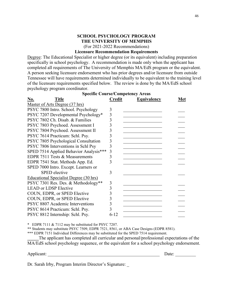#### **SCHOOL PSYCHOLOGY PROGRAM THE UNIVERSITY OF MEMPHIS** (For 2021-2022 Recommendations)

#### **Licensure Recommendation Requirements**

Degree: The Educational Specialist or higher degree (or its equivalent) including preparation specifically in school psychology. A recommendation is made only when the applicant has completed all requirements of The University of Memphis MA/EdS program or the equivalent. A person seeking licensure endorsement who has prior degrees and/or licensure from outside Tennessee will have requirements determined individually to be equivalent to the training level of the licensure requirements specified below. The review is done by the MA/EdS school psychology program coordinator. **Specific Course/Competency Areas**

|                                        |                | Specific Course/Competency Areas |     |
|----------------------------------------|----------------|----------------------------------|-----|
| <u>No.</u><br><b>Title</b>             | <b>Credit</b>  | <b>Equivalency</b>               | Met |
| Master of Arts Degree (37 hrs)         |                |                                  |     |
| PSYC 7800 Intro. School. Psychology    | 3              |                                  |     |
| PSYC 7207 Developmental Psychology*    | 3              |                                  |     |
| PSYC 7802 Ch. Disab. & Families        | 3              |                                  |     |
| PSYC 7803 Psychoed. Assessment I       | 3              |                                  |     |
| PSYC 7804 Psychoed. Assessment II      | 3              |                                  |     |
| PSYC 7614 Practicum: Schl. Psy.        | 3              |                                  |     |
| PSYC 7805 Psychological Consultation   | 3              |                                  |     |
| PSYC 7806 Interventions in Schl Psy    | 3              |                                  |     |
| SPED 7514 Applied Behavior Analysis*** | 3              |                                  |     |
| EDPR 7511 Tests & Measurements         | 3              |                                  |     |
| EDPR 7541 Stat. Methods App. Ed.       | 3              |                                  |     |
| SPED 7000 Intro. Except. Learners or   |                |                                  |     |
| <b>SPED</b> elective                   | 3              |                                  |     |
| Educational Specialist Degree (30 hrs) |                |                                  |     |
| PSYC 7301 Res. Des. & Methodology**    | $\mathfrak{Z}$ |                                  |     |
| <b>LEAD or LDSP Elective</b>           | 3              |                                  |     |
| COUN, EDPR, or SPED Elective           | 3              |                                  |     |
| COUN, EDPR, or SPED Elective           | 3              |                                  |     |
| PSYC 8807 Academic Interventions       | 3              |                                  |     |
| PSYC 8614 Practicum: Schl. Psy.        | 3              |                                  |     |
| PSYC 8812 Internship: Schl. Psy.       | $6 - 12$       |                                  |     |

\* EDPR 7111 & 7112 may be substituted for PSYC 7207.

\*\* Students may substitute PSYC 7509, EDPR 7521, 8561, or ABA Case Designs (EDPR 8581).

\*\*\* EDPR 7151 Individual Differences may be substituted for the SPED 7514 requirement.

**\_\_\_\_\_**The applicant has completed all curricular and personal/professional expectations of the MA/EdS school psychology sequence, or the equivalent for a school psychology endorsement.

Applicant: \_\_\_\_\_\_\_\_\_\_\_\_\_\_\_\_\_\_\_\_\_\_\_\_\_\_\_\_\_\_\_\_\_\_\_\_\_\_\_\_\_\_\_\_\_\_\_\_\_ Date: \_\_\_\_\_\_\_\_\_

Dr. Sarah Irby, Program Interim Director's Signature: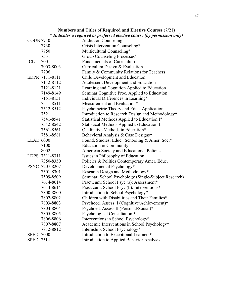|                  | * Indicates a required or preferred elective course (by permission only) |                                                      |  |  |  |  |  |
|------------------|--------------------------------------------------------------------------|------------------------------------------------------|--|--|--|--|--|
| <b>COUN 7710</b> |                                                                          | <b>Addiction Counseling</b>                          |  |  |  |  |  |
|                  | 7730                                                                     | Crisis Intervention Counseling*                      |  |  |  |  |  |
|                  | 7750                                                                     | Multicultural Counseling*                            |  |  |  |  |  |
|                  | 7531                                                                     | Group Counseling Processes*                          |  |  |  |  |  |
| ICL              | 7001                                                                     | <b>Fundamentals of Curriculum</b>                    |  |  |  |  |  |
|                  | 7003-8003                                                                | Curriculum Design & Evaluation                       |  |  |  |  |  |
|                  | 7706                                                                     | Family & Community Relations for Teachers            |  |  |  |  |  |
|                  | EDPR 7111-8111                                                           | Child Development and Education                      |  |  |  |  |  |
|                  | 7112-8112                                                                | Adolescent Development and Education                 |  |  |  |  |  |
|                  | 7121-8121                                                                | Learning and Cognition Applied to Education          |  |  |  |  |  |
|                  | 7149-8149                                                                | Seminar Cognitive Proc. Applied to Education         |  |  |  |  |  |
|                  | 7151-8151                                                                | Individual Differences in Learning*                  |  |  |  |  |  |
|                  | 7511-8511                                                                | Measurement and Evaluation*                          |  |  |  |  |  |
|                  | 7512-8512                                                                | Psychometric Theory and Educ. Application            |  |  |  |  |  |
|                  | 7521                                                                     | Introduction to Research Design and Methodology*     |  |  |  |  |  |
|                  | 7541-8541                                                                | Statistical Methods Applied to Education I*          |  |  |  |  |  |
|                  | 7542-8542                                                                | Statistical Methods Applied to Education II          |  |  |  |  |  |
|                  | 7561-8561                                                                | Qualitative Methods in Education*                    |  |  |  |  |  |
|                  | 7581-8581                                                                | Behavioral Analysis & Case Designs*                  |  |  |  |  |  |
| <b>LEAD 6000</b> |                                                                          | Found. Studies: Educ., Schooling & Amer. Soc.*       |  |  |  |  |  |
|                  | 7100                                                                     | Education & Community                                |  |  |  |  |  |
|                  | 8002                                                                     | American Society and Educational Policies            |  |  |  |  |  |
|                  | LDPS 7311-8311                                                           | Issues in Philosophy of Education                    |  |  |  |  |  |
|                  | 7350-8350                                                                | Policies & Politics Contemporary Amer. Educ.         |  |  |  |  |  |
|                  | PSYC 7207-8207                                                           | Developmental Psychology*                            |  |  |  |  |  |
|                  | 7301-8301                                                                | Research Design and Methodology*                     |  |  |  |  |  |
|                  | 7509-8509                                                                | Seminar: School Psychology (Single-Subject Research) |  |  |  |  |  |
|                  | 7614-8614                                                                | Practicum: School Psyc.(a): Assessment*              |  |  |  |  |  |
|                  | 7614-8614                                                                | Practicum: School Psyc.(b): Interventions*           |  |  |  |  |  |
|                  | 7800-8800                                                                | Introduction to School Psychology*                   |  |  |  |  |  |
|                  | 7802-8802                                                                | Children with Disabilities and Their Families*       |  |  |  |  |  |
|                  | 7803-8803                                                                | Psychoed. Assess. I (Cognitive/Achievement)*         |  |  |  |  |  |
|                  | 7804-8804                                                                | Psychoed. Assess.II (Personal/Social)*               |  |  |  |  |  |
|                  | 7805-8805                                                                | Psychological Consultation *                         |  |  |  |  |  |
|                  | 7806-8806                                                                | Interventions in School Psychology*                  |  |  |  |  |  |
|                  | 7807-8807                                                                | Academic Interventions in School Psychology*         |  |  |  |  |  |
|                  | 7812-8812                                                                | Internship: School Psychology*                       |  |  |  |  |  |
| <b>SPED</b>      | 7000                                                                     | Introduction to Exceptional Learners*                |  |  |  |  |  |
| <b>SPED 7514</b> |                                                                          | Introduction to Applied Behavior Analysis            |  |  |  |  |  |

**Numbers and Titles of Required and Elective Courses** (7/21)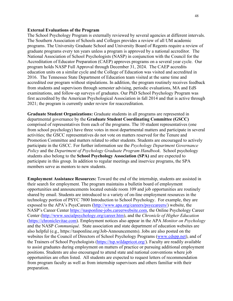#### **External Evaluations of the Program**

The School Psychology Program is externally reviewed by several agencies at different intervals. The Southern Association of Schools and Colleges provides a review of all UM academic programs. The University Graduate School and University Board of Regents require a review of graduate programs every ten years unless a program is approved by a national accreditor. The National Association of School Psychologists (NASP) in conjunction with the Council for the Accreditation of Educator Preparation (CAEP) approves programs on a several year cycle. Our program holds NASP Full Approval through December 31, 2024. The CAEP accredits education units on a similar cycle and the College of Education was visited and accredited in 2016. The Tennessee State Department of Education team visited at the same time and accredited our program without stipulations. In addition, the program routinely receives feedback from students and supervisors through semester advising, periodic evaluations, MA and EdS examinations, and follow-up surveys of graduates. Our PhD School Psychology Program was first accredited by the American Psychological Association in fall 2014 and that is active through 2021; the program is currently under review for reaccreditation.

**Graduate Student Organizations:** Graduate students in all programs are represented in departmental governance by the **Graduate Student Coordinating Committee (GSCC)** comprised of representatives from each of the programs. The 10 student representatives (one from school psychology) have three votes in most departmental matters and participate in several activities; the GSCC representatives do not vote on matters reserved for the Tenure and Promotion Committee and matters related to other students. Students are encouraged to actively participate in the GSCC. For further information see the *Psychology Department Governance Policy* and the *Department of Psychology Graduate Program Handbook*. School psychology students also belong to the **School Psychology Association (SPA)** and are expected to participate in this group. In addition to regular meetings and inservice programs, the SPA members serve as mentors to new students.

**Employment Assistance Resources:** Toward the end of the internship, students are assisted in their search for employment. The program maintains a bulletin board of employment opportunities and announcements located outside room 109 and job opportunities are routinely shared by email. Students are introduced to a variety of on-line employment resources in the technology portion of PSYC 7800 Introduction to School Psychology. For example, they are exposed to the APA's PsycCareers [\(http://www.apa.org/careers/psyccareers/\)](http://www.apa.org/careers/psyccareers/) website, the NASP's Career Center [https://nasponline-jobs.careerwebsite.com,](https://nasponline-jobs.careerwebsite.com/) the Online Psychology Career Center [\(http://www.socialpsychology.org/career.htm\)](http://www.socialpsychology.org/career.htm), and the *Chronicle of Higher Education* [\(https://chroniclevitae.com\)](https://chroniclevitae.com/). Employment notices also appear in the APA *Monitor on Psychology* and the NASP *Communiqué.* State association and state department of education websites are also helpful (e.g., https://tasponline.org/Job-Announcements). Jobs are also posted on the websites for the Council of Directors of School Psychology Programs [\(www.cdspp.net\)](http://www.cdspp.net/), and of the Trainers of School Psychologists [\(https://tsp.wildapricot.org/\)](https://tsp.wildapricot.org/). Faculty are readily available to assist graduates during employment on matters of practice or pursuing additional employment positions. Students are also encouraged to attend state and national conventions where job opportunities are often listed. All students are expected to request letters of recommendation from program faculty as well as from internship supervisors and others familiar with their preparation.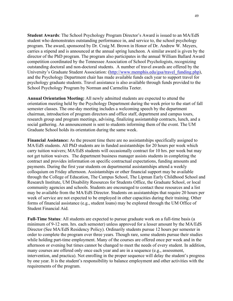**Student Awards**: The School Psychology Program Director's Award is issued to an MA/EdS student who demonstrates outstanding performance in, and service to, the school psychology program. The award, sponsored by Dr. Craig M. Brown in Honor of Dr. Andrew W. Meyers, carries a stipend and is announced at the annual spring luncheon. A similar award is given by the director of the PhD program. The program also participates in the annual William Ballard Award competition coordinated by the Tennessee Association of School Psychologists, recognizing outstanding doctoral and non-doctoral students. A number of travel awards are offered by the University's Graduate Student Association: [\(http://www.memphis.edu/gsa/travel\\_funding.php\)](http://www.memphis.edu/gsa/travel_funding.php), and the Psychology Department chair has made available funds each year to support travel for psychology graduate students. Travel assistance is also available through funds provided to the School Psychology Program by Norman and Carmelita Teeter.

**Annual Orientation Meeting:** All newly admitted students are expected to attend the orientation meeting held by the Psychology Department during the week prior to the start of fall semester classes. The one-day meeting includes a welcoming speech by the department chairman, introduction of program directors and office staff, department and campus tours, research group and program meetings, advising, finalizing assistantship contracts, lunch, and a social gathering. An announcement is sent to students informing them of the event. The UM Graduate School holds its orientation during the same week.

**Financial Assistance:** As the present time there are no assistantships specifically assigned to MA/EdS students. All PhD students are in funded assistantships for 20 hours per week which carry tuition waivers; MA/EdS students will occasionally contract for 10 hrs. per week but may not get tuition waivers. The department business manager assists students in completing the contract and provides information on specific contractual expectations, funding amounts and payments. During the first year students on departmental assistantships attend a weekly colloquium on Friday afternoon. Assistantships or other financial support may be available through the College of Education, The Campus School, The Lipman Early Childhood School and Research Institute, UM Disability Resources for Students Office, the Graduate School, or local community agencies and schools. Students are encouraged to contact these resources and a list may be available from the MA/EdS Director. Students on assistantships that require 20 hours per week of service are not expected to be employed in other capacities during their training. Other forms of financial assistance (e.g., student loans) may be explored through the UM Office of Student Financial Aid.

**Full-Time Status**: All students are expected to pursue graduate work on a full-time basis (a minimum of 9-12 sem. hrs. each semester) unless approved for a lesser amount by the MA/EdS Director (See MA/EdS Residency Policy). Ordinarily students pursue 12 hours per semester in order to complete the program over three years. Though rare, some students pursue their studies while holding part-time employment. Many of the courses are offered once per week and in the afternoon or evening but times cannot be changed to meet the needs of every student. In addition, many courses are offered only once each year and are in a sequence (e.g., assessment, intervention, and practica). Not enrolling in the proper sequence will delay the student's progress by one year. It is the student's responsibility to balance employment and other activities with the requirements of the program.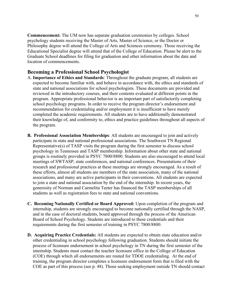**Commencement:** The UM now has separate graduation ceremonies by colleges. School psychology students receiving the Master of Arts, Master of Science, or the Doctor or Philosophy degree will attend the College of Arts and Sciences ceremony. Those receiving the Educational Specialist degree will attend that of the College of Education. Please be alert to the Graduate School deadlines for filing for graduation and other information about the date and location of commencements.

#### **Becoming a Professional School Psychologist**

- A. **Importance of Ethics and Standards**: Throughout the graduate program, all students are expected to become familiar with, and behave in accordance with, the ethics and standards of state and national associations for school psychologists. These documents are provided and reviewed in the introductory courses, and their contents evaluated at different points in the program. Appropriate professional behavior is an important part of satisfactorily completing school psychology programs. In order to receive the program director's endorsement and recommendation for credentialing and/or employment it is insufficient to have merely completed the academic requirements. All students are to have additionally demonstrated their knowledge of, and conformity to, ethics and practice guidelines throughout all aspects of the program.
- **B. Professional Association Memberships**: All students are encouraged to join and actively participate in state and national professional associations. The Southwest TN Regional Representative(s) of TASP visits the program during the first semester to discuss school psychology in Tennessee and TASP membership. Information about other state and national groups is routinely provided in PSYC 7800/8800. Students are also encouraged to attend local meetings of SWTASP, state conferences, and national conferences. Presentations of their research and professional practices at these meetings are strongly encouraged. As a result of these efforts, almost all students are members of the state association, many of the national associations, and many are active participants in their conventions. All students are expected to join a state and national association by the end of the internship. In recent years, the generosity of Norman and Carmelita Teeter has financed the TASP memberships of all students as well as registration fees to state and national conventions.
- **C. Becoming Nationally Certified or Board Approved:** Upon completion of the program and internship, students are strongly encouraged to become nationally certified through the NASP, and in the case of doctoral students, board approved through the process of the American Board of School Psychology. Students are introduced to these credentials and their requirements during the first semester of training in PSYC 7800/8800.
- **D. Acquiring Practice Credentials:** All students are expected to obtain state education and/or other credentialing in school psychology following graduation. Students should initiate the process of licensure endorsement in school psychology in TN during the first semester of the internship. Students must contact the teacher licensure office in the College of Education (COE) through which all endorsements are routed for TDOE credentialing. At the end of training, the program director completes a licensure endorsement form that is filed with the COE as part of this process (see p. 48). Those seeking employment outside TN should contact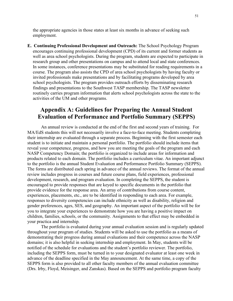the appropriate agencies in those states at least six months in advance of seeking such employment.

**E. Continuing Professional Development and Outreach:** The School Psychology Program encourages continuing professional development (CPD) of its current and former students as well as area school psychologists. During the program, students are expected to participate in research group and other presentations on campus and to attend local and state conferences. In some instances, conference presentations may be substituted for reading requirements in a course. The program also assists the CPD of area school psychologists by having faculty or invited professionals make presentations and by facilitating programs developed by area school psychologists. The program provides outreach efforts by disseminating research findings and presentations to the Southwest TASP membership. The TASP newsletter routinely carries program information that alerts school psychologists across the state to the activities of the UM and other programs.

## **Appendix A: Guidelines for Preparing the Annual Student Evaluation of Performance and Portfolio Summary (SEPPS)**

An annual review is conducted at the end of the first and second years of training. For MA/EdS students this will not necessarily involve a face-to-face meeting. Students completing their internship are evaluated through a separate process. Beginning with the first semester each student is to initiate and maintain a personal portfolio. The portfolio should include items that reveal your competence, progress, and how you are meeting the goals of the program and each NASP Competency Domain; the portfolio is organized to include areas for information and products related to each domain. The portfolio includes a curriculum vitae. An important adjunct to the portfolio is the annual Student Evaluation and Performance Portfolio Summary (SEPPS). The forms are distributed each spring in advance of the annual reviews. The format of the annual review includes progress in courses and future course plans, field experiences, professional development, research, and program evaluation. In completing the SEPPS, the student is encouraged to provide responses that are keyed to specific documents in the portfolio that provide evidence for the response area. An array of contributions from course content, experiences, placements, etc., are to be identified in responding to each area. For example, responses to diversity competencies can include ethnicity as well as disability, religion and gender preferences, ages, SES, and geography. An important aspect of the portfolio will be for you to integrate your experiences to demonstrate how you are having a positive impact on children, families, schools, or the community. Assignments to that effect may be embedded in your practica and internship.

The portfolio is evaluated during your annual evaluation session and is regularly updated throughout your program of studies. Students will be asked to use the portfolio as a means of demonstrating their progress during annual evaluations and their competence across the NASP domains; it is also helpful in seeking internship and employment. In May, students will be notified of the schedule for evaluations and the student's portfolio reviewer. The portfolio, including the SEPPS form, must be turned in to your designated evaluator at least one week in advance of the deadline specified in the May announcement. At the same time, a copy of the SEPPS form is also provided to all other faculty members of the annual evaluation committee (Drs. Irby, Floyd, Meisinger, and Zanskas). Based on the SEPPS and portfolio program faculty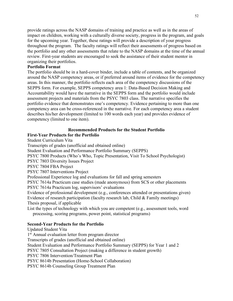provide ratings across the NASP domains of training and practice as well as in the areas of impact on children, working with a culturally diverse society, progress in the program, and goals for the upcoming year. Together, these ratings will provide a description of your progress throughout the program. The faculty ratings will reflect their assessments of progress based on the portfolio and any other assessments that relate to the NASP domains at the time of the annual review. First-year students are encouraged to seek the assistance of their student mentor in organizing their portfolios.

#### **Portfolio Format**

The portfolio should be in a hard-cover binder, include a table of contents, and be organized around the NASP competency areas, or if preferred around items of evidence for the competency areas. In this manner, the portfolio reflects each area of the competency discussions of the SEPPS form. For example, SEPPS competency area 1: Data-Based Decision Making and Accountability would have the narrative in the SEPPS form and the portfolio would include assessment projects and materials from the PSYC 7803 class. The narrative specifies the portfolio evidence that demonstrates one's competency. Evidence pertaining to more than one competency area can be cross-referenced in the narrative. For each competency area a student describes his/her development (limited to 100 words each year) and provides evidence of competency (limited to one item).

#### **Recommended Products for the Student Portfolio**

#### **First-Year Products for the Portfolio**

Student Curriculum Vita

Transcripts of grades (unofficial and obtained online)

Student Evaluation and Performance Portfolio Summary (SEPPS)

PSYC 7800 Products (Who's Who, Topic Presentation, Visit To School Psychologist)

PSYC 7803 Diversity Issues Project

PSYC 7804 FBA Project

PSYC 7807 Interventions Project

Professional Experience log and evaluations for fall and spring semesters

PSYC 7614a Practicum case studies (made anonymous) from SCS or other placements PSYC 7614a Practicum log, supervisors' evaluations

Evidence of professional development (e.g., conferences attended or presentations given) Evidence of research participation (faculty research lab, Child & Family meetings) Thesis proposal, if applicable

List the types of technology with which you are competent (e.g., assessment tools, word processing, scoring programs, power point, statistical programs)

#### **Second-Year Products for the Portfolio**

Updated Student Vita 1<sup>st</sup> Annual evaluation letter from program director Transcripts of grades (unofficial and obtained online) Student Evaluation and Performance Portfolio Summary (SEPPS) for Year 1 and 2 PSYC 7805 Consultation Project (making a difference in student growth) PSYC 7806 Intervention/Treatment Plan PSYC 8614b Presentation (Home-School Collaboration) PSYC 8614b Counseling Group Treatment Plan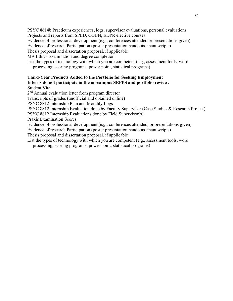PSYC 8614b Practicum experiences, logs, supervisor evaluations, personal evaluations Projects and reports from SPED, COUN, EDPR elective courses

Evidence of professional development (e.g., conferences attended or presentations given)

Evidence of research Participation (poster presentation handouts, manuscripts)

Thesis proposal and dissertation proposal, if applicable

MA Ethics Examination and degree completion

List the types of technology with which you are competent (e.g., assessment tools, word processing, scoring programs, power point, statistical programs)

## **Third-Year Products Added to the Portfolio for Seeking Employment Interns do not participate in the on-campus SEPPS and portfolio review.**

Student Vita

2<sup>nd</sup> Annual evaluation letter from program director

Transcripts of grades (unofficial and obtained online)

PSYC 8812 Internship Plan and Monthly Logs

PSYC 8812 Internship Evaluation done by Faculty Supervisor (Case Studies & Research Project)

PSYC 8812 Internship Evaluations done by Field Supervisor(s)

Praxis Examination Scores

Evidence of professional development (e.g., conferences attended, or presentations given)

Evidence of research Participation (poster presentation handouts, manuscripts)

Thesis proposal and dissertation proposal, if applicable

List the types of technology with which you are competent (e.g., assessment tools, word processing, scoring programs, power point, statistical programs)